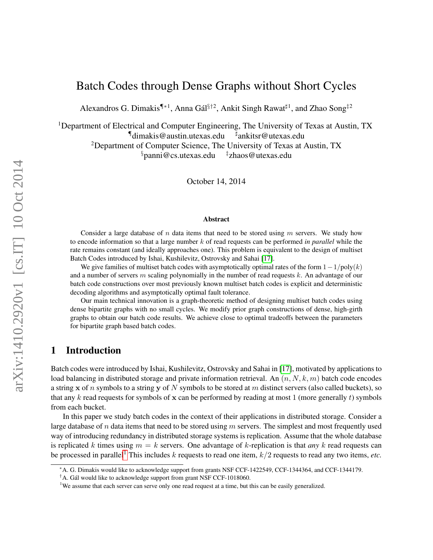# Batch Codes through Dense Graphs without Short Cycles

Alexandros G. Dimakis¶\*<sup>1</sup>, Anna Gál<sup>§†2</sup>, Ankit Singh Rawat<sup>‡1</sup>, and Zhao Song<sup>‡2</sup>

<sup>1</sup>Department of Electrical and Computer Engineering, The University of Texas at Austin, TX  $\P$ dimakis@austin.utexas.edu ankitsr@utexas.edu

<sup>2</sup>Department of Computer Science, The University of Texas at Austin, TX

§panni@cs.utexas.edu ‡ zhaos@utexas.edu

October 14, 2014

#### Abstract

Consider a large database of n data items that need to be stored using  $m$  servers. We study how to encode information so that a large number k of read requests can be performed *in parallel* while the rate remains constant (and ideally approaches one). This problem is equivalent to the design of multiset Batch Codes introduced by Ishai, Kushilevitz, Ostrovsky and Sahai [\[17\]](#page-21-0).

We give families of multiset batch codes with asymptotically optimal rates of the form  $1-1/poly(k)$ and a number of servers  $m$  scaling polynomially in the number of read requests  $k$ . An advantage of our batch code constructions over most previously known multiset batch codes is explicit and deterministic decoding algorithms and asymptotically optimal fault tolerance.

Our main technical innovation is a graph-theoretic method of designing multiset batch codes using dense bipartite graphs with no small cycles. We modify prior graph constructions of dense, high-girth graphs to obtain our batch code results. We achieve close to optimal tradeoffs between the parameters for bipartite graph based batch codes.

### 1 Introduction

Batch codes were introduced by Ishai, Kushilevitz, Ostrovsky and Sahai in [\[17\]](#page-21-0), motivated by applications to load balancing in distributed storage and private information retrieval. An  $(n, N, k, m)$  batch code encodes a string x of n symbols to a string y of N symbols to be stored at m distinct servers (also called buckets), so that any k read requests for symbols of x can be performed by reading at most 1 (more generally t) symbols from each bucket.

In this paper we study batch codes in the context of their applications in distributed storage. Consider a large database of n data items that need to be stored using  $m$  servers. The simplest and most frequently used way of introducing redundancy in distributed storage systems is replication. Assume that the whole database is replicated k times using  $m = k$  servers. One advantage of k-replication is that *any* k read requests can be processed in parallel<sup>[1](#page-0-0)</sup> This includes k requests to read one item,  $k/2$  requests to read any two items, *etc.* 

<sup>∗</sup>A. G. Dimakis would like to acknowledge support from grants NSF CCF-1422549, CCF-1344364, and CCF-1344179.

 $^{\dagger}$ A. Gál would like to acknowledge support from grant NSF CCF-1018060.

<span id="page-0-0"></span><sup>&</sup>lt;sup>1</sup>We assume that each server can serve only one read request at a time, but this can be easily generalized.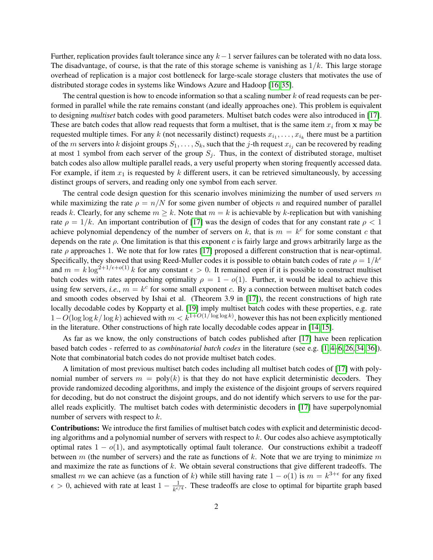Further, replication provides fault tolerance since any  $k-1$  server failures can be tolerated with no data loss. The disadvantage, of course, is that the rate of this storage scheme is vanishing as  $1/k$ . This large storage overhead of replication is a major cost bottleneck for large-scale storage clusters that motivates the use of distributed storage codes in systems like Windows Azure and Hadoop [\[16,](#page-21-1) [35\]](#page-22-0).

The central question is how to encode information so that a scaling number  $k$  of read requests can be performed in parallel while the rate remains constant (and ideally approaches one). This problem is equivalent to designing *multiset* batch codes with good parameters. Multiset batch codes were also introduced in [\[17\]](#page-21-0). These are batch codes that allow read requests that form a multiset, that is the same item  $x_i$  from x may be requested multiple times. For any k (not necessarily distinct) requests  $x_{i_1}, \ldots, x_{i_k}$  there must be a partition of the m servers into k disjoint groups  $S_1, \ldots, S_k$ , such that the j-th request  $x_{i_j}$  can be recovered by reading at most 1 symbol from each server of the group  $S_i$ . Thus, in the context of distributed storage, multiset batch codes also allow multiple parallel reads, a very useful property when storing frequently accessed data. For example, if item  $x_1$  is requested by k different users, it can be retrieved simultaneously, by accessing distinct groups of servers, and reading only one symbol from each server.

The central code design question for this scenario involves minimizing the number of used servers  $m$ while maximizing the rate  $\rho = n/N$  for some given number of objects n and required number of parallel reads k. Clearly, for any scheme  $m \geq k$ . Note that  $m = k$  is achievable by k-replication but with vanishing rate  $\rho = 1/k$ . An important contribution of [\[17\]](#page-21-0) was the design of codes that for any constant rate  $\rho < 1$ achieve polynomial dependency of the number of servers on k, that is  $m = k^c$  for some constant c that depends on the rate  $\rho$ . One limitation is that this exponent c is fairly large and grows arbitrarily large as the rate  $\rho$  approaches 1. We note that for low rates [\[17\]](#page-21-0) proposed a different construction that is near-optimal. Specifically, they showed that using Reed-Muller codes it is possible to obtain batch codes of rate  $\rho = 1/k^{\epsilon}$ and  $m = k \log^{2+1/\epsilon + o(1)} k$  for any constant  $\epsilon > 0$ . It remained open if it is possible to construct multiset batch codes with rates approaching optimality  $\rho = 1 - o(1)$ . Further, it would be ideal to achieve this using few servers, *i.e.*,  $m = k^c$  for some small exponent c. By a connection between multiset batch codes and smooth codes observed by Ishai et al. (Theorem 3.9 in [\[17\]](#page-21-0)), the recent constructions of high rate locally decodable codes by Kopparty et al. [\[19\]](#page-21-2) imply multiset batch codes with these properties, e.g. rate  $1-O(\log \log k/\log k)$  achieved with  $m < k^{1+O(1/\log \log k)}$ , however this has not been explicitly mentioned in the literature. Other constructions of high rate locally decodable codes appear in [\[14,](#page-21-3) [15\]](#page-21-4).

As far as we know, the only constructions of batch codes published after [\[17\]](#page-21-0) have been replication based batch codes - referred to as *combinatorial batch codes* in the literature (see e.g. [\[1,](#page-20-0) [4](#page-20-1)[–6,](#page-20-2) [26,](#page-21-5) [34,](#page-22-1) [36\]](#page-22-2)). Note that combinatorial batch codes do not provide multiset batch codes.

A limitation of most previous multiset batch codes including all multiset batch codes of [\[17\]](#page-21-0) with polynomial number of servers  $m = poly(k)$  is that they do not have explicit deterministic decoders. They provide randomized decoding algorithms, and imply the existence of the disjoint groups of servers required for decoding, but do not construct the disjoint groups, and do not identify which servers to use for the parallel reads explicitly. The multiset batch codes with deterministic decoders in [\[17\]](#page-21-0) have superpolynomial number of servers with respect to k.

Contributions: We introduce the first families of multiset batch codes with explicit and deterministic decoding algorithms and a polynomial number of servers with respect to k. Our codes also achieve asymptotically optimal rates  $1 - o(1)$ , and asymptotically optimal fault tolerance. Our constructions exhibit a tradeoff between m (the number of servers) and the rate as functions of k. Note that we are trying to minimize m and maximize the rate as functions of  $k$ . We obtain several constructions that give different tradeoffs. The smallest m we can achieve (as a function of k) while still having rate  $1 - o(1)$  is  $m = k^{3+\epsilon}$  for any fixed  $\epsilon > 0$ , achieved with rate at least  $1 - \frac{1}{\epsilon \epsilon}$  $\frac{1}{k^{\epsilon/4}}$ . These tradeoffs are close to optimal for bipartite graph based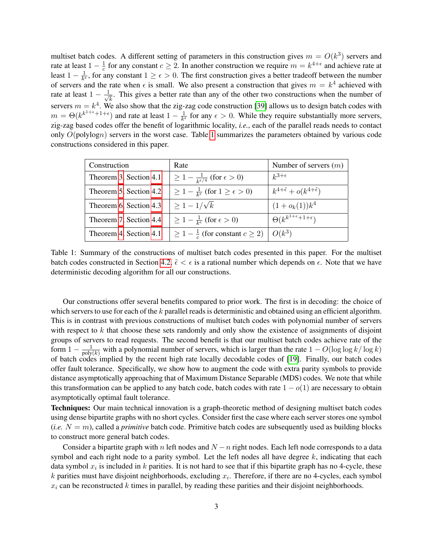multiset batch codes. A different setting of parameters in this construction gives  $m = O(k^3)$  servers and rate at least  $1-\frac{1}{c}$  $\frac{1}{c}$  for any constant  $c \geq 2$ . In another construction we require  $m = k^{4+\epsilon}$  and achieve rate at least  $1 - \frac{1}{k^e}$  $\frac{1}{k^{\epsilon}}$ , for any constant  $1 \geq \epsilon > 0$ . The first construction gives a better tradeoff between the number of servers and the rate when  $\epsilon$  is small. We also present a construction that gives  $m = k^4$  achieved with rate at least  $1 - \frac{1}{\sqrt{2}}$  $\frac{1}{k}$ . This gives a better rate than any of the other two constructions when the number of servers  $m = k<sup>4</sup>$ . We also show that the zig-zag code construction [\[39\]](#page-22-3) allows us to design batch codes with  $m = \Theta(k^{k^{1+\epsilon}+1+\epsilon})$  and rate at least  $1-\frac{1}{k^{\epsilon}}$  $\frac{1}{k^{\epsilon}}$  for any  $\epsilon > 0$ . While they require substantially more servers, zig-zag based codes offer the benefit of logarithmic locality, *i.e.*, each of the parallel reads needs to contact only O(polylogn) servers in the worst case. Table [1](#page-2-0) summarizes the parameters obtained by various code constructions considered in this paper.

<span id="page-2-0"></span>

| Construction           | Rate                                                           | Number of servers $(m)$                            |
|------------------------|----------------------------------------------------------------|----------------------------------------------------|
| Theorem 3, Section 4.1 | $\geq 1 - \frac{1}{k \epsilon/4}$ (for $\epsilon > 0$ )        | $k^{3+\epsilon}$                                   |
| Theorem 5, Section 4.2 | $\geq 1 - \frac{1}{k^{\epsilon}}$ (for $1 \geq \epsilon > 0$ ) | $k^{4+\tilde{\epsilon}}+o(k^{4+\tilde{\epsilon}})$ |
| Theorem 6, Section 4.3 | $\geq 1-1/\sqrt{k}$                                            | $(1+o_k(1))k^4$                                    |
| Theorem 7, Section 4.4 | $\geq 1 - \frac{1}{k\epsilon}$ (for $\epsilon > 0$ )           | $\Theta(k^{k^{1+\epsilon}+1+\epsilon})$            |
| Theorem 4, Section 4.1 | $\geq 1 - \frac{1}{c}$ (for constant $c \geq 2$ )              | $O(k^3)$                                           |

Table 1: Summary of the constructions of multiset batch codes presented in this paper. For the multiset batch codes constructed in Section [4.2,](#page-13-0)  $\tilde{\epsilon} < \epsilon$  is a rational number which depends on  $\epsilon$ . Note that we have deterministic decoding algorithm for all our constructions.

Our constructions offer several benefits compared to prior work. The first is in decoding: the choice of which servers to use for each of the  $k$  parallel reads is deterministic and obtained using an efficient algorithm. This is in contrast with previous constructions of multiset batch codes with polynomial number of servers with respect to  $k$  that choose these sets randomly and only show the existence of assignments of disjoint groups of servers to read requests. The second benefit is that our multiset batch codes achieve rate of the form  $1 - \frac{1}{\text{poly}(k)}$  with a polynomial number of servers, which is larger than the rate  $1 - O(\log \log k / \log k)$ of batch codes implied by the recent high rate locally decodable codes of [\[19\]](#page-21-2). Finally, our batch codes offer fault tolerance. Specifically, we show how to augment the code with extra parity symbols to provide distance asymptotically approaching that of Maximum Distance Separable (MDS) codes. We note that while this transformation can be applied to any batch code, batch codes with rate  $1 - o(1)$  are necessary to obtain asymptotically optimal fault tolerance.

Techniques: Our main technical innovation is a graph-theoretic method of designing multiset batch codes using dense bipartite graphs with no short cycles. Consider first the case where each server stores one symbol  $(i.e. N = m)$ , called a *primitive* batch code. Primitive batch codes are subsequently used as building blocks to construct more general batch codes.

Consider a bipartite graph with n left nodes and  $N - n$  right nodes. Each left node corresponds to a data symbol and each right node to a parity symbol. Let the left nodes all have degree  $k$ , indicating that each data symbol  $x_i$  is included in k parities. It is not hard to see that if this bipartite graph has no 4-cycle, these k parities must have disjoint neighborhoods, excluding  $x_i$ . Therefore, if there are no 4-cycles, each symbol  $x_i$  can be reconstructed k times in parallel, by reading these parities and their disjoint neighborhoods.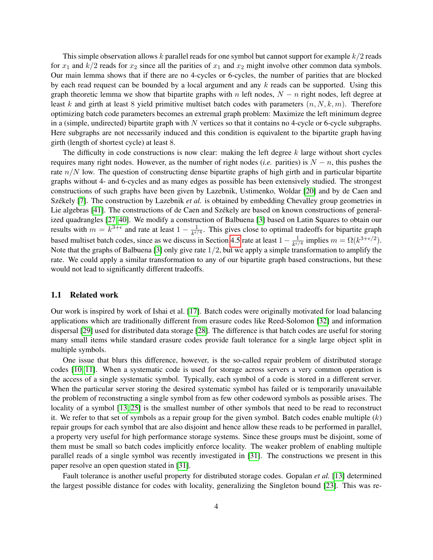This simple observation allows  $k$  parallel reads for one symbol but cannot support for example  $k/2$  reads for  $x_1$  and  $k/2$  reads for  $x_2$  since all the parities of  $x_1$  and  $x_2$  might involve other common data symbols. Our main lemma shows that if there are no 4-cycles or 6-cycles, the number of parities that are blocked by each read request can be bounded by a local argument and any  $k$  reads can be supported. Using this graph theoretic lemma we show that bipartite graphs with n left nodes,  $N - n$  right nodes, left degree at least k and girth at least 8 yield primitive multiset batch codes with parameters  $(n, N, k, m)$ . Therefore optimizing batch code parameters becomes an extremal graph problem: Maximize the left minimum degree in a (simple, undirected) bipartite graph with  $N$  vertices so that it contains no 4-cycle or 6-cycle subgraphs. Here subgraphs are not necessarily induced and this condition is equivalent to the bipartite graph having girth (length of shortest cycle) at least 8.

The difficulty in code constructions is now clear: making the left degree k large without short cycles requires many right nodes. However, as the number of right nodes (*i.e.* parities) is  $N - n$ , this pushes the rate  $n/N$  low. The question of constructing dense bipartite graphs of high girth and in particular bipartite graphs without 4- and 6-cycles and as many edges as possible has been extensively studied. The strongest constructions of such graphs have been given by Lazebnik, Ustimenko, Woldar [\[20\]](#page-21-6) and by de Caen and Székely [\[7\]](#page-20-3). The construction by Lazebnik *et al.* is obtained by embedding Chevalley group geometries in Lie algebras [\[41\]](#page-22-4). The constructions of de Caen and Székely are based on known constructions of generalized quadrangles [\[27,](#page-21-7) [40\]](#page-22-5). We modify a construction of Balbuena [\[3\]](#page-20-4) based on Latin Squares to obtain our results with  $m = k^{3+\epsilon}$  and rate at least  $1 - \frac{1}{k\epsilon}$  $\frac{1}{k^{\epsilon/4}}$ . This gives close to optimal tradeoffs for bipartite graph based multiset batch codes, since as we discuss in Section [4.5](#page-18-0) rate at least  $1 - \frac{1}{\hbar \epsilon}$  $\frac{1}{k^{\epsilon/4}}$  implies  $m = \Omega(k^{3+\epsilon/2})$ . Note that the graphs of Balbuena [\[3\]](#page-20-4) only give rate  $1/2$ , but we apply a simple transformation to amplify the rate. We could apply a similar transformation to any of our bipartite graph based constructions, but these would not lead to significantly different tradeoffs.

### 1.1 Related work

Our work is inspired by work of Ishai et al. [\[17\]](#page-21-0). Batch codes were originally motivated for load balancing applications which are traditionally different from erasure codes like Reed-Solomon [\[32\]](#page-22-6) and information dispersal [\[29\]](#page-22-7) used for distributed data storage [\[28\]](#page-22-8). The difference is that batch codes are useful for storing many small items while standard erasure codes provide fault tolerance for a single large object split in multiple symbols.

One issue that blurs this difference, however, is the so-called repair problem of distributed storage codes [\[10,](#page-20-5) [11\]](#page-21-8). When a systematic code is used for storage across servers a very common operation is the access of a single systematic symbol. Typically, each symbol of a code is stored in a different server. When the particular server storing the desired systematic symbol has failed or is temporarily unavailable the problem of reconstructing a single symbol from as few other codeword symbols as possible arises. The locality of a symbol [\[13,](#page-21-9) [25\]](#page-21-10) is the smallest number of other symbols that need to be read to reconstruct it. We refer to that set of symbols as a repair group for the given symbol. Batch codes enable multiple  $(k)$ repair groups for each symbol that are also disjoint and hence allow these reads to be performed in parallel, a property very useful for high performance storage systems. Since these groups must be disjoint, some of them must be small so batch codes implicitly enforce locality. The weaker problem of enabling multiple parallel reads of a single symbol was recently investigated in [\[31\]](#page-22-9). The constructions we present in this paper resolve an open question stated in [\[31\]](#page-22-9).

Fault tolerance is another useful property for distributed storage codes. Gopalan *et al.* [\[13\]](#page-21-9) determined the largest possible distance for codes with locality, generalizing the Singleton bound [\[23\]](#page-21-11). This was re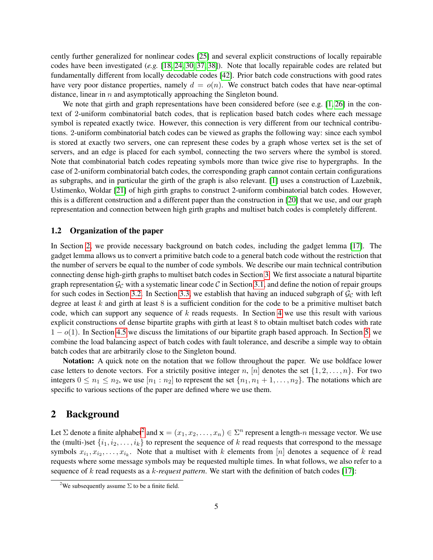cently further generalized for nonlinear codes [\[25\]](#page-21-10) and several explicit constructions of locally repairable codes have been investigated (*e.g.* [\[18,](#page-21-12) [24,](#page-21-13) [30,](#page-22-10) [37,](#page-22-11) [38\]](#page-22-12)). Note that locally repairable codes are related but fundamentally different from locally decodable codes [\[42\]](#page-22-13). Prior batch code constructions with good rates have very poor distance properties, namely  $d = o(n)$ . We construct batch codes that have near-optimal distance, linear in  $n$  and asymptotically approaching the Singleton bound.

We note that girth and graph representations have been considered before (see e.g. [\[1,](#page-20-0) [26\]](#page-21-5) in the context of 2-uniform combinatorial batch codes, that is replication based batch codes where each message symbol is repeated exactly twice. However, this connection is very different from our technical contributions. 2-uniform combinatorial batch codes can be viewed as graphs the following way: since each symbol is stored at exactly two servers, one can represent these codes by a graph whose vertex set is the set of servers, and an edge is placed for each symbol, connecting the two servers where the symbol is stored. Note that combinatorial batch codes repeating symbols more than twice give rise to hypergraphs. In the case of 2-uniform combinatorial batch codes, the corresponding graph cannot contain certain configurations as subgraphs, and in particular the girth of the graph is also relevant. [\[1\]](#page-20-0) uses a construction of Lazebnik, Ustimenko, Woldar [\[21\]](#page-21-14) of high girth graphs to construct 2-uniform combinatorial batch codes. However, this is a different construction and a different paper than the construction in [\[20\]](#page-21-6) that we use, and our graph representation and connection between high girth graphs and multiset batch codes is completely different.

### 1.2 Organization of the paper

In Section [2,](#page-4-0) we provide necessary background on batch codes, including the gadget lemma [\[17\]](#page-21-0). The gadget lemma allows us to convert a primitive batch code to a general batch code without the restriction that the number of servers be equal to the number of code symbols. We describe our main technical contribution connecting dense high-girth graphs to multiset batch codes in Section [3.](#page-6-0) We first associate a natural bipartite graph representation  $\mathcal{G}_{\mathcal{C}}$  with a systematic linear code  $\mathcal{C}$  in Section [3.1,](#page-6-1) and define the notion of repair groups for such codes in Section [3.2.](#page-6-2) In Section [3.3,](#page-7-0) we establish that having an induced subgraph of  $\mathcal{G}_{\mathcal{C}}$  with left degree at least  $k$  and girth at least  $8$  is a sufficient condition for the code to be a primitive multiset batch code, which can support any sequence of  $k$  reads requests. In Section [4](#page-10-0) we use this result with various explicit constructions of dense bipartite graphs with girth at least 8 to obtain multiset batch codes with rate  $1 - o(1)$ . In Section [4.5](#page-18-0) we discuss the limitations of our bipartite graph based approach. In Section [5,](#page-18-1) we combine the load balancing aspect of batch codes with fault tolerance, and describe a simple way to obtain batch codes that are arbitrarily close to the Singleton bound.

Notation: A quick note on the notation that we follow throughout the paper. We use boldface lower case letters to denote vectors. For a strictily positive integer n, [n] denotes the set  $\{1, 2, \ldots, n\}$ . For two integers  $0 \le n_1 \le n_2$ , we use  $[n_1 : n_2]$  to represent the set  $\{n_1, n_1 + 1, \ldots, n_2\}$ . The notations which are specific to various sections of the paper are defined where we use them.

### <span id="page-4-0"></span>2 Background

Let  $\Sigma$  denote a finite alphabet<sup>[2](#page-4-1)</sup> and  $\mathbf{x}=(x_1,x_2,\ldots,x_n)\in\Sigma^n$  represent a length-n message vector. We use the (multi-)set  $\{i_1, i_2, \ldots, i_k\}$  to represent the sequence of k read requests that correspond to the message symbols  $x_{i_1}, x_{i_2}, \ldots, x_{i_k}$ . Note that a multiset with k elements from [n] denotes a sequence of k read requests where some message symbols may be requested multiple times. In what follows, we also refer to a sequence of k read requests as a k*-request pattern*. We start with the definition of batch codes [\[17\]](#page-21-0):

<span id="page-4-1"></span><sup>&</sup>lt;sup>2</sup>We subsequently assume  $\Sigma$  to be a finite field.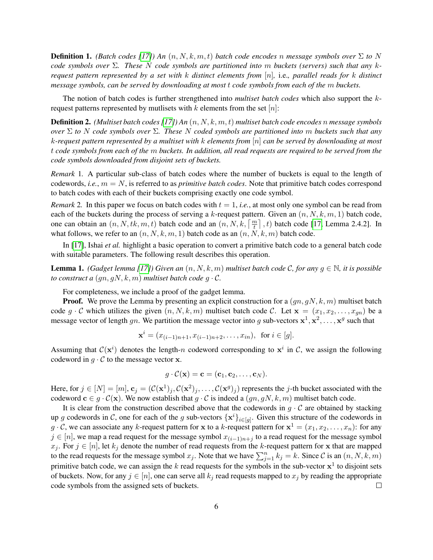**Definition 1.** *(Batch codes [\[17\]](#page-21-0))* An  $(n, N, k, m, t)$  *batch code encodes* n *message symbols over*  $\Sigma$  *to* N *code symbols over* Σ*. These* N *code symbols are partitioned into* m *buckets (servers) such that any* k*request pattern represented by a set with* k *distinct elements from* [n]*,* i.e.*, parallel reads for* k *distinct message symbols, can be served by downloading at most* t *code symbols from each of the* m *buckets.*

The notion of batch codes is further strengthened into *multiset batch codes* which also support the krequest patterns represented by mutlisets with  $k$  elements from the set  $[n]$ :

Definition 2. *(Multiset batch codes [\[17\]](#page-21-0)) An* (n, N, k, m, t) *multiset batch code encodes* n *message symbols over* Σ *to* N *code symbols over* Σ*. These* N *coded symbols are partitioned into* m *buckets such that any* k*-request pattern represented by a multiset with* k *elements from* [n] *can be served by downloading at most* t *code symbols from each of the* m *buckets. In addition, all read requests are required to be served from the code symbols downloaded from disjoint sets of buckets.*

*Remark* 1*.* A particular sub-class of batch codes where the number of buckets is equal to the length of codewords, *i.e.*, m = N, is referred to as *primitive batch codes*. Note that primitive batch codes correspond to batch codes with each of their buckets comprising exactly one code symbol.

*Remark* 2. In this paper we focus on batch codes with  $t = 1$ , *i.e.*, at most only one symbol can be read from each of the buckets during the process of serving a k-request pattern. Given an  $(n, N, k, m, 1)$  batch code, one can obtain an  $(n, N, tk, m, t)$  batch code and an  $(n, N, k, \lceil \frac{m}{t} \rceil, t)$  batch code [\[17,](#page-21-0) Lemma 2.4.2]. In what follows, we refer to an  $(n, N, k, m, 1)$  batch code as an  $(n, N, k, m)$  batch code.

In [\[17\]](#page-21-0), Ishai *et al.* highlight a basic operation to convert a primitive batch code to a general batch code with suitable parameters. The following result describes this operation.

**Lemma 1.** *(Gadget lemma [\[17\]](#page-21-0)) Given an*  $(n, N, k, m)$  *multiset batch code C, for any*  $g \in \mathbb{N}$ *, it is possible to construct a*  $(qn, qN, k, m)$  *multiset batch code*  $q \cdot C$ *.* 

For completeness, we include a proof of the gadget lemma.

**Proof.** We prove the Lemma by presenting an explicit construction for a  $(gn, gN, k, m)$  multiset batch code  $g \cdot C$  which utilizes the given  $(n, N, k, m)$  multiset batch code C. Let  $\mathbf{x} = (x_1, x_2, \dots, x_{qn})$  be a message vector of length gn. We partition the message vector into g sub-vectors  $x^1, x^2, \ldots, x^g$  such that

$$
\mathbf{x}^{i} = (x_{(i-1)n+1}, x_{(i-1)n+2}, \dots, x_{in}), \text{ for } i \in [g].
$$

Assuming that  $C(\mathbf{x}^i)$  denotes the length-n codeword corresponding to  $\mathbf{x}^i$  in C, we assign the following codeword in  $g \cdot C$  to the message vector **x**.

$$
g\cdot \mathcal{C}(\mathbf{x})=\mathbf{c}=(\mathbf{c}_1,\mathbf{c}_2,\ldots,\mathbf{c}_N).
$$

Here, for  $j \in [N] = [m]$ ,  $\mathbf{c}_j = (\mathcal{C}(\mathbf{x}^1)_j, \mathcal{C}(\mathbf{x}^2)_j, \dots, \mathcal{C}(\mathbf{x}^g)_j)$  represents the j-th bucket associated with the codeword  $c \in g \cdot C(\mathbf{x})$ . We now establish that  $g \cdot C$  is indeed a  $(gn, gN, k, m)$  multiset batch code.

It is clear from the construction described above that the codewords in  $g \cdot C$  are obtained by stacking up g codewords in C, one for each of the g sub-vectors  $\{x^i\}_{i \in [g]}$ . Given this structure of the codewords in  $g \cdot C$ , we can associate any k-request pattern for x to a k-request pattern for  $x^1 = (x_1, x_2, \ldots, x_n)$ : for any  $j \in [n]$ , we map a read request for the message symbol  $x_{(i-1)n+j}$  to a read request for the message symbol  $x_j$ . For  $j \in [n]$ , let  $k_j$  denote the number of read requests from the k-request pattern for x that are mapped to the read requests for the message symbol  $x_j$ . Note that we have  $\sum_{j=1}^n k_j = k$ . Since C is an  $(n, N, k, m)$ primitive batch code, we can assign the k read requests for the symbols in the sub-vector  $x^1$  to disjoint sets of buckets. Now, for any  $j \in [n]$ , one can serve all  $k_j$  read requests mapped to  $x_j$  by reading the appropriate code symbols from the assigned sets of buckets.  $\Box$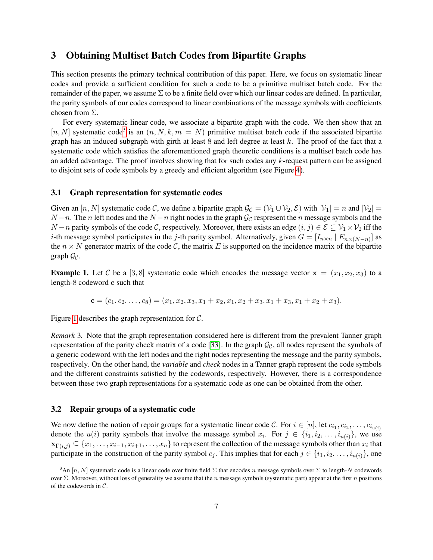## <span id="page-6-0"></span>3 Obtaining Multiset Batch Codes from Bipartite Graphs

This section presents the primary technical contribution of this paper. Here, we focus on systematic linear codes and provide a sufficient condition for such a code to be a primitive multiset batch code. For the remainder of the paper, we assume  $\Sigma$  to be a finite field over which our linear codes are defined. In particular, the parity symbols of our codes correspond to linear combinations of the message symbols with coefficients chosen from Σ.

For every systematic linear code, we associate a bipartite graph with the code. We then show that an  $[n, N]$  systematic code<sup>[3](#page-6-3)</sup> is an  $(n, N, k, m = N)$  primitive multiset batch code if the associated bipartite graph has an induced subgraph with girth at least  $8$  and left degree at least k. The proof of the fact that a systematic code which satisfies the aforementioned graph theoretic conditions is a multiset batch code has an added advantage. The proof involves showing that for such codes any k-request pattern can be assigned to disjoint sets of code symbols by a greedy and efficient algorithm (see Figure [4\)](#page-11-2).

#### <span id="page-6-1"></span>3.1 Graph representation for systematic codes

Given an  $[n, N]$  systematic code C, we define a bipartite graph  $\mathcal{G}_{\mathcal{C}} = (\mathcal{V}_1 \cup \mathcal{V}_2, \mathcal{E})$  with  $|\mathcal{V}_1| = n$  and  $|\mathcal{V}_2| =$  $N-n$ . The n left nodes and the  $N-n$  right nodes in the graph  $\mathcal{G}_{\mathcal{C}}$  respresent the n message symbols and the  $N-n$  parity symbols of the code C, respectively. Moreover, there exists an edge  $(i, j) \in \mathcal{E} \subseteq \mathcal{V}_1 \times \mathcal{V}_2$  iff the *i*-th message symbol participates in the *j*-th parity symbol. Alternatively, given  $G = [I_{n \times n} | E_{n \times (N-n)}]$  as the  $n \times N$  generator matrix of the code C, the matrix E is supported on the incidence matrix of the bipartite graph  $\mathcal{G}_{\mathcal{C}}$ .

<span id="page-6-4"></span>**Example 1.** Let C be a [3, 8] systematic code which encodes the message vector  $x = (x_1, x_2, x_3)$  to a length-8 codeword c such that

$$
\mathbf{c} = (c_1, c_2, \dots, c_8) = (x_1, x_2, x_3, x_1 + x_2, x_1, x_2 + x_3, x_1 + x_3, x_1 + x_2 + x_3).
$$

Figure [1](#page-7-1) describes the graph representation for  $C$ .

*Remark* 3*.* Note that the graph representation considered here is different from the prevalent Tanner graph representation of the parity check matrix of a code [\[33\]](#page-22-14). In the graph  $\mathcal{G}_{\mathcal{C}}$ , all nodes represent the symbols of a generic codeword with the left nodes and the right nodes representing the message and the parity symbols, respectively. On the other hand, the *variable* and *check* nodes in a Tanner graph represent the code symbols and the different constraints satisfied by the codewords, respectively. However, there is a correspondence between these two graph representations for a systematic code as one can be obtained from the other.

### <span id="page-6-2"></span>3.2 Repair groups of a systematic code

We now define the notion of repair groups for a systematic linear code C. For  $i \in [n]$ , let  $c_{i_1}, c_{i_2}, \ldots, c_{i_{u(i)}}$ denote the  $u(i)$  parity symbols that involve the message symbol  $x_i$ . For  $j \in \{i_1, i_2, \ldots, i_{u(i)}\}$ , we use  $\mathbf{x}_{\Gamma(i,j)} \subseteq \{x_1, \ldots, x_{i-1}, x_{i+1}, \ldots, x_n\}$  to represent the collection of the message symbols other than  $x_i$  that participate in the construction of the parity symbol  $c_j$ . This implies that for each  $j \in \{i_1, i_2, \ldots, i_{u(i)}\}$ , one

<span id="page-6-3"></span><sup>&</sup>lt;sup>3</sup>An [n, N] systematic code is a linear code over finite field  $\Sigma$  that encodes n message symbols over  $\Sigma$  to length-N codewords over  $\Sigma$ . Moreover, without loss of generality we assume that the n message symbols (systematic part) appear at the first n positions of the codewords in C.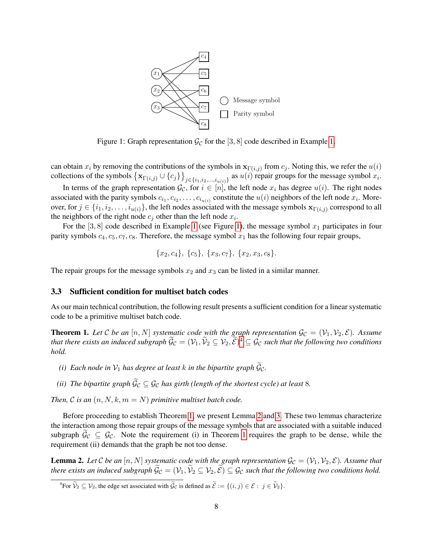<span id="page-7-1"></span>

Figure 1: Graph representation  $\mathcal{G}_{\mathcal{C}}$  for the [3, 8] code described in Example [1.](#page-6-4)

can obtain  $x_i$  by removing the contributions of the symbols in  $\mathbf{x}_{\Gamma(i,j)}$  from  $c_j$ . Noting this, we refer the  $u(i)$ collections of the symbols  $\{ \mathbf{x}_{\Gamma(i,j)} \cup \{c_j\} \}_{j \in \{i_1,i_2,...,i_{u(i)}\}}$  as  $u(i)$  repair groups for the message symbol  $x_i$ .

In terms of the graph representation  $\mathcal{G}_{\mathcal{C}}$ , for  $i \in [n]$ , the left node  $x_i$  has degree  $u(i)$ . The right nodes associated with the parity symbols  $c_{i_1}, c_{i_2}, \ldots, c_{i_{u(i)}}$  constitute the  $u(i)$  neighbors of the left node  $x_i$ . Moreover, for  $j \in \{i_1, i_2, \ldots, i_{u(i)}\}$ , the left nodes associated with the message symbols  $\mathbf{x}_{\Gamma(i,j)}$  correspond to all the neighbors of the right node  $c_j$  other than the left node  $x_i$ .

For the [3, 8] code described in Example [1](#page-6-4) (see Figure [1\)](#page-7-1), the message symbol  $x_1$  participates in four parity symbols  $c_4$ ,  $c_5$ ,  $c_7$ ,  $c_8$ . Therefore, the message symbol  $x_1$  has the following four repair groups,

$$
{x_2, c_4}, \{c_5\}, \{x_3, c_7\}, \{x_2, x_3, c_8\}.
$$

The repair groups for the message symbols  $x_2$  and  $x_3$  can be listed in a similar manner.

### <span id="page-7-0"></span>3.3 Sufficient condition for multiset batch codes

As our main technical contribution, the following result presents a sufficient condition for a linear systematic code to be a primitive multiset batch code.

<span id="page-7-3"></span>**Theorem 1.** Let C be an  $[n, N]$  systematic code with the graph representation  $\mathcal{G}_{\mathcal{C}} = (\mathcal{V}_1, \mathcal{V}_2, \mathcal{E})$ . Assume *that there exists an induced subgraph*  $\widetilde{\mathcal{G}}_C = (\mathcal{V}_1, \widetilde{\mathcal{V}}_2 \subseteq \mathcal{V}_2, \widetilde{\mathcal{E}})^4 \subseteq \mathcal{G}_C$  $\widetilde{\mathcal{G}}_C = (\mathcal{V}_1, \widetilde{\mathcal{V}}_2 \subseteq \mathcal{V}_2, \widetilde{\mathcal{E}})^4 \subseteq \mathcal{G}_C$  $\widetilde{\mathcal{G}}_C = (\mathcal{V}_1, \widetilde{\mathcal{V}}_2 \subseteq \mathcal{V}_2, \widetilde{\mathcal{E}})^4 \subseteq \mathcal{G}_C$  such that the following two conditions *hold.*

- *(i)* Each node in  $V_1$  has degree at least k in the bipartite graph  $\widetilde{G}_C$ .
- *(ii) The bipartite graph*  $\widetilde{\mathcal{G}}_C \subseteq \mathcal{G}_C$  *has girth (length of the shortest cycle) at least* 8*.*

*Then,*  $C$  *is an*  $(n, N, k, m = N)$  *primitive multiset batch code.* 

Before proceeding to establish Theorem [1,](#page-7-3) we present Lemma [2](#page-7-4) and [3.](#page-8-0) These two lemmas characterize the interaction among those repair groups of the message symbols that are associated with a suitable induced subgraph  $\mathcal{G}_{\mathcal{C}} \subseteq \mathcal{G}_{\mathcal{C}}$ . Note the requirement (i) in Theorem [1](#page-7-3) requires the graph to be dense, while the requirement (ii) demands that the graph be not too dense.

<span id="page-7-4"></span>**Lemma 2.** Let C be an  $[n, N]$  systematic code with the graph representation  $\mathcal{G}_{\mathcal{C}} = (\mathcal{V}_1, \mathcal{V}_2, \mathcal{E})$ . Assume that *there exists an induced subgraph*  $\widetilde{\mathcal{G}}_C = (\mathcal{V}_1, \widetilde{\mathcal{V}}_2 \subseteq \mathcal{V}_2, \widetilde{\mathcal{E}}) \subseteq \mathcal{G}_C$  *such that the following two conditions hold.* 

<span id="page-7-2"></span><sup>&</sup>lt;sup>4</sup>For  $\widetilde{\mathcal{V}}_2 \subseteq \mathcal{V}_2$ , the edge set associated with  $\widetilde{\mathcal{G}}_C$  is defined as  $\widetilde{\mathcal{E}} := \{(i, j) \in \mathcal{E} : j \in \widetilde{\mathcal{V}}_2\}.$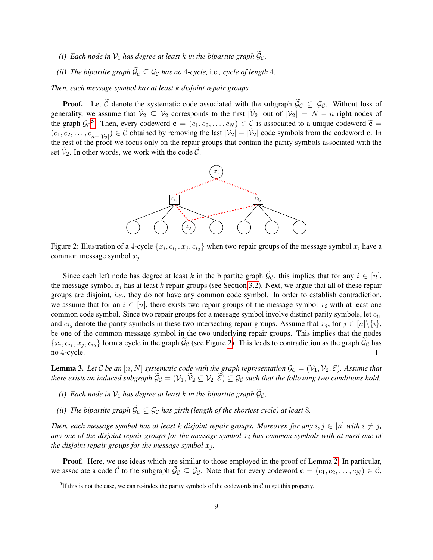- *(i)* Each node in  $V_1$  has degree at least k in the bipartite graph  $\widetilde{g}_c$ ,
- *(ii) The bipartite graph*  $\widetilde{\mathcal{G}}_{\mathcal{C}} \subseteq \mathcal{G}_{\mathcal{C}}$  *has no* 4*-cycle,* i.e., *cycle of length* 4*.*

*Then, each message symbol has at least* k *disjoint repair groups.*

<span id="page-8-2"></span>**Proof.** Let C denote the systematic code associated with the subgraph  $\tilde{\mathcal{G}}_C \subseteq \mathcal{G}_C$ . Without loss of generality, we assume that  $\widetilde{\mathcal{V}}_2 \subseteq \mathcal{V}_2$  corresponds to the first  $|\widetilde{\mathcal{V}}_2|$  out of  $|\mathcal{V}_2| = N - n$  right nodes of the graph  $\mathcal{G}_{\mathcal{C}}^5$  $\mathcal{G}_{\mathcal{C}}^5$ . Then, every codeword  $\mathbf{c} = (c_1, c_2, \dots, c_N) \in \mathcal{C}$  is associated to a unique codeword  $\tilde{\mathbf{c}} = (c_1, c_2, \dots, c_N) \in \mathcal{C}$  is associated to a unique codeword  $\tilde{\mathbf{c}} = (c_1, c_2, \dots, c_N) \in \mathcal{C$  $(c_1, c_2, \ldots, c_{n+|\tilde{\mathcal{V}}_2|}) \in \mathcal{C}$  obtained by removing the last  $|\mathcal{V}_2| - |\mathcal{V}_2|$  code symbols from the codeword c. In the rest of the proof we focus only on the repair groups that contain the parity symbols associated with the set  $\mathcal{V}_2$ . In other words, we work with the code  $\mathcal{C}$ .



Figure 2: Illustration of a 4-cycle  $\{x_i, c_{i_1}, x_j, c_{i_2}\}$  when two repair groups of the message symbol  $x_i$  have a common message symbol  $x_j$ .

Since each left node has degree at least k in the bipartite graph  $\tilde{G}_C$ , this implies that for any  $i \in [n]$ , the message symbol  $x_i$  has at least k repair groups (see Section [3.2\)](#page-6-2). Next, we argue that all of these repair groups are disjoint, *i.e.*, they do not have any common code symbol. In order to establish contradiction, we assume that for an  $i \in [n]$ , there exists two repair groups of the message symbol  $x_i$  with at least one common code symbol. Since two repair groups for a message symbol involve distinct parity symbols, let  $c_{i_1}$ and  $c_{i_2}$  denote the parity symbols in these two intersecting repair groups. Assume that  $x_j$ , for  $j \in [n] \setminus \{i\}$ , be one of the common message symbol in the two underlying repair groups. This implies that the nodes  $\{x_i, c_{i_1}, x_j, c_{i_2}\}$  form a cycle in the graph  $\mathcal{G}_{\mathcal{C}}$  (see Figure [2\)](#page-8-2). This leads to contradiction as the graph  $\mathcal{G}_{\mathcal{C}}$  has no 4-cycle.

<span id="page-8-0"></span>**Lemma 3.** Let C be an  $[n, N]$  systematic code with the graph representation  $\mathcal{G}_C = (\mathcal{V}_1, \mathcal{V}_2, \mathcal{E})$ . Assume that *there exists an induced subgraph*  $\widetilde{\mathcal{G}}_C = (\mathcal{V}_1, \widetilde{\mathcal{V}}_2 \subseteq \mathcal{V}_2, \widetilde{\mathcal{E}}) \subseteq \mathcal{G}_C$  *such that the following two conditions hold.* 

- *(i)* Each node in  $\mathcal{V}_1$  has degree at least k in the bipartite graph  $\widetilde{\mathcal{G}}_C$ ,
- *(ii) The bipartite graph*  $\widetilde{\mathcal{G}}_C \subseteq \mathcal{G}_C$  *has girth (length of the shortest cycle) at least* 8*.*

*Then, each message symbol has at least* k *disjoint repair groups. Moreover, for any*  $i, j \in [n]$  *with*  $i \neq j$ *,* any one of the disjoint repair groups for the message symbol  $x_i$  has common symbols with at most one of *the disjoint repair groups for the message symbol*  $x_j$ *.* 

**Proof.** Here, we use ideas which are similar to those employed in the proof of Lemma [2.](#page-7-4) In particular, we associate a code  $\tilde{C}$  to the subgraph  $\tilde{G}_C \subseteq \mathcal{G}_C$ . Note that for every codeword  $\mathbf{c} = (c_1, c_2, \dots, c_N) \in \mathcal{C}$ ,

<span id="page-8-1"></span><sup>&</sup>lt;sup>5</sup>If this is not the case, we can re-index the parity symbols of the codewords in  $C$  to get this property.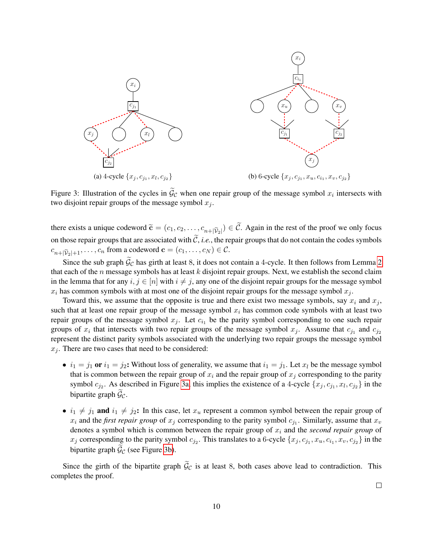<span id="page-9-0"></span>

Figure 3: Illustration of the cycles in  $\mathcal{G}_{\mathcal{C}}$  when one repair group of the message symbol  $x_i$  intersects with two disjoint repair groups of the message symbol  $x_i$ .

there exists a unique codeword  $\widetilde{\mathbf{c}} = (c_1, c_2, \dots, c_{n+|\widetilde{\mathcal{V}}_2|}) \in \mathcal{C}$ . Again in the rest of the proof we only focus on those repair groups that are associated with  $\tilde{C}$ , *i.e.*, the repair groups that do not contain the codes symbols  $c_{n+|\widetilde{V}_2|+1}, \ldots, c_n$  from a codeword  $\mathbf{c} = (c_1, \ldots, c_N) \in \mathcal{C}$ .

Since the sub graph  $\tilde{G}_C$  has girth at least 8, it does not contain a 4-cycle. It then follows from Lemma [2](#page-7-4) that each of the  $n$  message symbols has at least  $k$  disjoint repair groups. Next, we establish the second claim in the lemma that for any  $i, j \in [n]$  with  $i \neq j$ , any one of the disjoint repair groups for the message symbol  $x_i$  has common symbols with at most one of the disjoint repair groups for the message symbol  $x_j$ .

Toward this, we assume that the opposite is true and there exist two message symbols, say  $x_i$  and  $x_j$ , such that at least one repair group of the message symbol  $x_i$  has common code symbols with at least two repair groups of the message symbol  $x_j$ . Let  $c_{i_1}$  be the parity symbol corresponding to one such repair groups of  $x_i$  that intersects with two repair groups of the message symbol  $x_j$ . Assume that  $c_{j_1}$  and  $c_{j_2}$ represent the distinct parity symbols associated with the underlying two repair groups the message symbol  $x_i$ . There are two cases that need to be considered:

- $i_1 = j_1$  or  $i_1 = j_2$ : Without loss of generality, we assume that  $i_1 = j_1$ . Let  $x_l$  be the message symbol that is common between the repair group of  $x_i$  and the repair group of  $x_j$  corresponding to the parity symbol  $c_{j_2}$ . As described in Figure [3a,](#page-9-0) this implies the existence of a 4-cycle  $\{x_j, c_{j_1}, x_l, c_{j_2}\}$  in the bipartite graph  $\mathcal{G}_c$ .
- $i_1 \neq j_1$  and  $i_1 \neq j_2$ : In this case, let  $x_u$  represent a common symbol between the repair group of  $x_i$  and the *first repair group* of  $x_j$  corresponding to the parity symbol  $c_{j_1}$ . Similarly, assume that  $x_v$ denotes a symbol which is common between the repair group of  $x_i$  and the *second repair group* of  $x_j$  corresponding to the parity symbol  $c_{j_2}$ . This translates to a 6-cycle  $\{x_j, c_{j_1}, x_u, c_{i_1}, x_v, c_{j_2}\}$  in the bipartite graph  $\tilde{\mathcal{G}}_{\mathcal{C}}$  (see Figure [3b\)](#page-9-0).

Since the girth of the bipartite graph  $\tilde{G}_C$  is at least 8, both cases above lead to contradiction. This completes the proof.

 $\Box$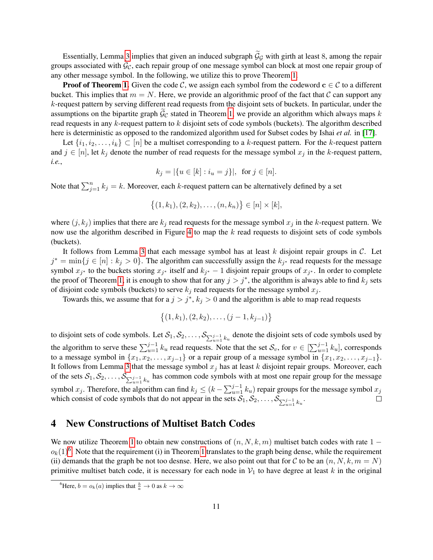Essentially, Lemma [3](#page-8-0) implies that given an induced subgraph  $\tilde{G}_G$  with girth at least 8, among the repair groups associated with  $\mathcal{G}_{\mathcal{C}}$ , each repair group of one message symbol can block at most one repair group of any other message symbol. In the following, we utilize this to prove Theorem [1.](#page-7-3)

**Proof of Theorem [1.](#page-7-3)** Given the code C, we assign each symbol from the codeword  $c \in C$  to a different bucket. This implies that  $m = N$ . Here, we provide an algorithmic proof of the fact that C can support any k-request pattern by serving different read requests from the disjoint sets of buckets. In particular, under the assumptions on the bipartite graph  $\mathcal{G}_{\mathcal{C}}$  stated in Theorem [1,](#page-7-3) we provide an algorithm which always maps k read requests in any k-request pattern to k disjoint sets of code symbols (buckets). The algorithm described here is deterministic as opposed to the randomized algorithm used for Subset codes by Ishai *et al.* in [\[17\]](#page-21-0).

Let  $\{i_1, i_2, \ldots, i_k\} \subset [n]$  be a multiset corresponding to a k-request pattern. For the k-request pattern and  $j \in [n]$ , let  $k_j$  denote the number of read requests for the message symbol  $x_j$  in the k-request pattern, *i.e.*,

$$
k_j = |\{u \in [k] : i_u = j\}|
$$
, for  $j \in [n]$ .

Note that  $\sum_{j=1}^{n} k_j = k$ . Moreover, each k-request pattern can be alternatively defined by a set

$$
\{(1,k_1), (2,k_2), \ldots, (n,k_n)\}\in [n]\times [k],
$$

where  $(j, k_j)$  implies that there are  $k_j$  read requests for the message symbol  $x_j$  in the k-request pattern. We now use the algorithm described in Figure [4](#page-11-2) to map the k read requests to disjoint sets of code symbols (buckets).

It follows from Lemma [3](#page-8-0) that each message symbol has at least  $k$  disjoint repair groups in  $C$ . Let  $j^* = \min\{j \in [n] : k_j > 0\}$ . The algorithm can successfully assign the  $k_{j^*}$  read requests for the message symbol  $x_{j^*}$  to the buckets storing  $x_{j^*}$  itself and  $k_{j^*} - 1$  disjoint repair groups of  $x_{j^*}$ . In order to complete the proof of Theorem [1,](#page-7-3) it is enough to show that for any  $j > j^*$ , the algorithm is always able to find  $k_j$  sets of disjoint code symbols (buckets) to serve  $k_j$  read requests for the message symbol  $x_j$ .

Towards this, we assume that for a  $j > j^*$ ,  $k_j > 0$  and the algorithm is able to map read requests

$$
\{(1,k_1), (2,k_2), \ldots, (j-1,k_{j-1})\}
$$

to disjoint sets of code symbols. Let  $S_1, S_2, \ldots, S_{\sum_{u=1}^{j-1} k_u}$  denote the disjoint sets of code symbols used by the algorithm to serve these  $\sum_{u=1}^{j-1} k_u$  read requests. Note that the set  $\mathcal{S}_v$ , for  $v \in [\sum_{u=1}^{j-1} k_u]$ , corresponds to a message symbol in  $\{x_1, x_2, \ldots, x_{j-1}\}$  or a repair group of a message symbol in  $\{x_1, x_2, \ldots, x_{j-1}\}$ . It follows from Lemma [3](#page-8-0) that the message symbol  $x_j$  has at least k disjoint repair groups. Moreover, each of the sets  $S_1, S_2, \ldots, S_{\sum_{u=1}^{j-1} k_u}$  has common code symbols with at most one repair group for the message symbol  $x_j$ . Therefore, the algorithm can find  $k_j \le (k - \sum_{u=1}^{j-1} k_u)$  repair groups for the message symbol  $x_j$ which consist of code symbols that do not appear in the sets  $S_1, S_2, \ldots, S_{\sum_{u=1}^{j-1} k_u}$ .  $\Box$ 

### <span id="page-10-0"></span>4 New Constructions of Multiset Batch Codes

We now utilize Theorem [1](#page-7-3) to obtain new constructions of  $(n, N, k, m)$  multiset batch codes with rate 1 −  $o_k(1)^6$  $o_k(1)^6$ . Note that the requirement (i) in Theorem [1](#page-7-3) translates to the graph being dense, while the requirement (ii) demands that the graph be not too desnse. Here, we also point out that for C to be an  $(n, N, k, m = N)$ primitive multiset batch code, it is necessary for each node in  $V_1$  to have degree at least k in the original

<span id="page-10-1"></span><sup>&</sup>lt;sup>6</sup>Here,  $b = o_k(a)$  implies that  $\frac{b}{a} \to 0$  as  $k \to \infty$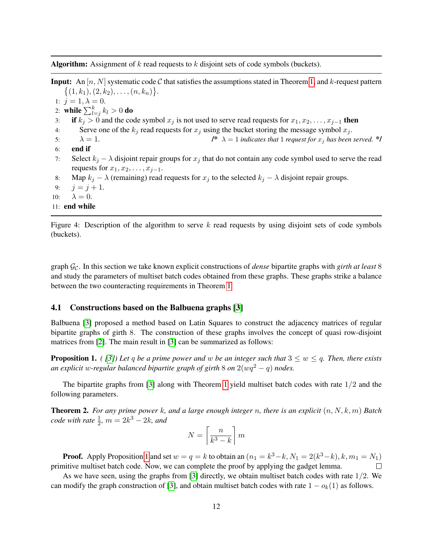<span id="page-11-2"></span>**Algorithm:** Assignment of  $k$  read requests to  $k$  disjoint sets of code symbols (buckets).

**Input:** An  $[n, N]$  systematic code C that satisfies the assumptions stated in Theorem [1,](#page-7-3) and k-request pattern  $\{(1,k_1), (2, k_2), \ldots, (n, k_n)\}.$ 1:  $j = 1, \lambda = 0$ . 2: while  $\sum_{l=j}^{k} k_l > 0$  do 3: if  $k_j > 0$  and the code symbol  $x_j$  is not used to serve read requests for  $x_1, x_2, \ldots, x_{j-1}$  then 4: Serve one of the  $k_j$  read requests for  $x_j$  using the bucket storing the message symbol  $x_j$ . 5:  $\lambda = 1$ .  $\lambda^* = 1$  *indicates that* 1 *request for*  $x_i$  *has been served.* \*/ 6: end if 7: Select  $k_j - \lambda$  disjoint repair groups for  $x_j$  that do not contain any code symbol used to serve the read requests for  $x_1, x_2, \ldots, x_{j-1}$ . 8: Map  $k_j - \lambda$  (remaining) read requests for  $x_j$  to the selected  $k_j - \lambda$  disjoint repair groups. 9:  $j = j + 1$ . 10:  $\lambda = 0$ . 11: end while

Figure 4: Description of the algorithm to serve  $k$  read requests by using disjoint sets of code symbols (buckets).

graph GC. In this section we take known explicit constructions of *dense* bipartite graphs with *girth at least* 8 and study the parameters of multiset batch codes obtained from these graphs. These graphs strike a balance between the two counteracting requirements in Theorem [1.](#page-7-3)

### <span id="page-11-1"></span>4.1 Constructions based on the Balbuena graphs [\[3\]](#page-20-4)

Balbuena [\[3\]](#page-20-4) proposed a method based on Latin Squares to construct the adjacency matrices of regular bipartite graphs of girth 8. The construction of these graphs involves the concept of quasi row-disjoint matrices from [\[2\]](#page-20-6). The main result in [\[3\]](#page-20-4) can be summarized as follows:

<span id="page-11-3"></span>**Proposition 1.** *( [\[3\]](#page-20-4))* Let q be a prime power and w be an integer such that  $3 \leq w \leq q$ . Then, there exists *an explicit* w-regular balanced bipartite graph of girth 8 on  $2(wq^2 - q)$  nodes.

The bipartite graphs from [\[3\]](#page-20-4) along with Theorem [1](#page-7-3) yield multiset batch codes with rate  $1/2$  and the following parameters.

Theorem 2. *For any prime power* k*, and a large enough integer* n*, there is an explicit* (n, N, k, m) *Batch code with rate*  $\frac{1}{2}$ *, m* =  $2k^3 - 2k$ *, and* 

$$
N = \left\lceil \frac{n}{k^3 - k} \right\rceil m
$$

**Proof.** Apply Proposition [1](#page-11-3) and set  $w = q = k$  to obtain an  $(n_1 = k^3 - k, N_1 = 2(k^3 - k), k, m_1 = N_1)$ primitive multiset batch code. Now, we can complete the proof by applying the gadget lemma.  $\Box$ 

<span id="page-11-0"></span>As we have seen, using the graphs from [\[3\]](#page-20-4) directly, we obtain multiset batch codes with rate 1/2. We can modify the graph construction of [\[3\]](#page-20-4), and obtain multiset batch codes with rate  $1 - o_k(1)$  as follows.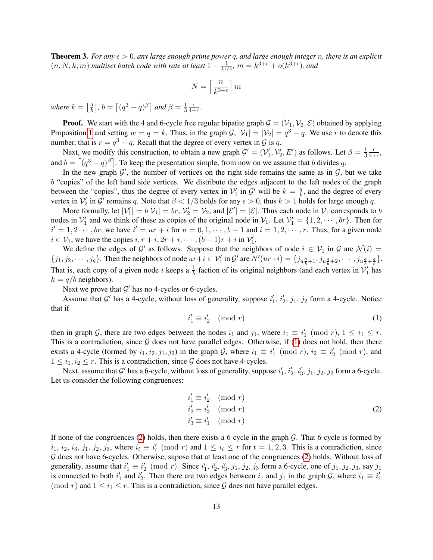**Theorem 3.** *For any*  $\epsilon > 0$ , any large enough prime power q, and large enough integer n, there is an explicit  $(n, N, k, m)$  *multiset batch code with rate at least*  $1 - \frac{1}{k\epsilon}$  $\frac{1}{k^{\epsilon/4}}$ ,  $m = k^{3+\epsilon} + o(k^{3+\epsilon})$ , and

$$
N = \left\lceil \frac{n}{k^{3+\epsilon}} \right\rceil m
$$

*where*  $k = \frac{q}{b}$  $\left[\frac{q}{b}\right]$ ,  $b = \left[\left(q^3 - q\right)^{\beta}\right]$  and  $\beta = \frac{1}{3}$ 3  $\epsilon$  $\frac{\epsilon}{4+\epsilon}$ .

**Proof.** We start with the 4 and 6-cycle free regular bipatite graph  $\mathcal{G} = (\mathcal{V}_1, \mathcal{V}_2, \mathcal{E})$  obtained by applying Proposition [1](#page-11-3) and setting  $w = q = k$ . Thus, in the graph  $\mathcal{G}, |\mathcal{V}_1| = |\mathcal{V}_2| = q^3 - q$ . We use r to denote this number, that is  $r = q^3 - q$ . Recall that the degree of every vertex in  $\mathcal G$  is q.

Next, we modify this construction, to obtain a new graph  $\mathcal{G}' = (\mathcal{V}'_1, \mathcal{V}'_2, E')$  as follows. Let  $\beta = \frac{1}{3}$ 3  $\epsilon$  $\frac{\epsilon}{4+\epsilon}$ and  $b = \lfloor (q^3 - q)^{\beta} \rfloor$ . To keep the presentation simple, from now on we assume that b divides q.

In the new graph  $\mathcal{G}'$ , the number of vertices on the right side remains the same as in  $\mathcal{G}$ , but we take b "copies" of the left hand side vertices. We distribute the edges adjacent to the left nodes of the graph between the "copies", thus the degree of every vertex in  $\mathcal{V}'_1$  in  $\mathcal{G}'$  will be  $k = \frac{q}{b}$  $\frac{q}{b}$ , and the degree of every vertex in  $V'_2$  in  $\mathcal{G}'$  remains q. Note that  $\beta < 1/3$  holds for any  $\epsilon > 0$ , thus  $k > 1$  holds for large enough q.

More formally, let  $|\mathcal{V}'_1| = b|\mathcal{V}_1| = br$ ,  $\mathcal{V}'_2 = \mathcal{V}_2$ , and  $|\mathcal{E}'| = |\mathcal{E}|$ . Thus each node in  $\mathcal{V}_1$  corresponds to b nodes in  $V'_1$  and we think of these as copies of the original node in  $V_1$ . Let  $V'_1 = \{1, 2, \dots, br\}$ . Then for  $i' = 1, 2 \cdots$ , br, we have  $i' = ur + i$  for  $u = 0, 1, \cdots, b-1$  and  $i = 1, 2, \cdots, r$ . Thus, for a given node  $i \in \mathcal{V}_1$ , we have the copies  $i, r + i, 2r + i, \dots, (b-1)r + i$  in  $\mathcal{V}'_1$ .

We define the edges of  $\mathcal{G}'$  as follows. Suppose that the neighbors of node  $i \in \mathcal{V}_1$  in  $\mathcal{G}$  are  $\mathcal{N}(i)$  =  $\{j_1, j_2, \dots, j_q\}$ . Then the neighbors of node  $ur+i \in \mathcal{V}'_1$  in  $\mathcal{G}'$  are  $N'(ur+i) = \{j_{u\frac{q}{b}+1}, j_{u\frac{q}{b}+2}, \dots, j_{u\frac{q}{b}+\frac{q}{b}}\}$ . That is, each copy of a given node i keeps a  $\frac{1}{b}$  faction of its original neighbors (and each vertex in  $\mathcal{V}'_1$  has  $k = q/b$  neighbors).

<span id="page-12-0"></span>Next we prove that  $G'$  has no 4-cycles or 6-cycles.

Assume that  $\mathcal{G}'$  has a 4-cycle, without loss of generality, suppose  $i'_1$ ,  $i'_2$ ,  $j_1$ ,  $j_2$  form a 4-cycle. Notice that if

$$
i'_1 \equiv i'_2 \pmod{r} \tag{1}
$$

then in graph G, there are two edges between the nodes  $i_1$  and  $j_1$ , where  $i_1 \equiv i'_1 \pmod{r}$ ,  $1 \le i_1 \le r$ . This is a contradiction, since  $G$  does not have parallel edges. Otherwise, if [\(1\)](#page-12-0) does not hold, then there exists a 4-cycle (formed by  $i_1, i_2, j_1, j_2$ ) in the graph G, where  $i_1 \equiv i'_1 \pmod{r}$ ,  $i_2 \equiv i'_2 \pmod{r}$ , and  $1 \leq i_1, i_2 \leq r$ . This is a contradiction, since G does not have 4-cycles.

Next, assume that  $\mathcal{G}'$  has a 6-cycle, without loss of generality, suppose  $i'_1$ ,  $i'_2$ ,  $i'_3$ ,  $j_1$ ,  $j_2$ ,  $j_3$  form a 6-cycle. Let us consider the following congruences:

<span id="page-12-1"></span>
$$
i'_1 \equiv i'_2 \pmod{r}
$$
  
\n
$$
i'_2 \equiv i'_3 \pmod{r}
$$
  
\n
$$
i'_3 \equiv i'_1 \pmod{r}
$$
  
\n(2)

If none of the congruences [\(2\)](#page-12-1) holds, then there exists a 6-cycle in the graph G. That 6-cycle is formed by  $i_1, i_2, i_3, j_1, j_2, j_3$ , where  $i_t \equiv i'_t \pmod{r}$  and  $1 \le i_t \le r$  for  $t = 1, 2, 3$ . This is a contradiction, since G does not have 6-cycles. Otherwise, supose that at least one of the congruences [\(2\)](#page-12-1) holds. Without loss of generality, assume that  $i'_1 \equiv i'_2 \pmod{r}$ . Since  $i'_1, i'_2, i'_3, j_1, j_2, j_3$  form a 6-cycle, one of  $j_1, j_2, j_3$ , say  $j_1$ is connected to both  $i'_1$  and  $i'_2$ . Then there are two edges between  $i_1$  and  $j_1$  in the graph  $G$ , where  $i_1 \equiv i'_1$ (mod r) and  $1 \le i_1 \le r$ . This is a contradiction, since G does not have parallel edges.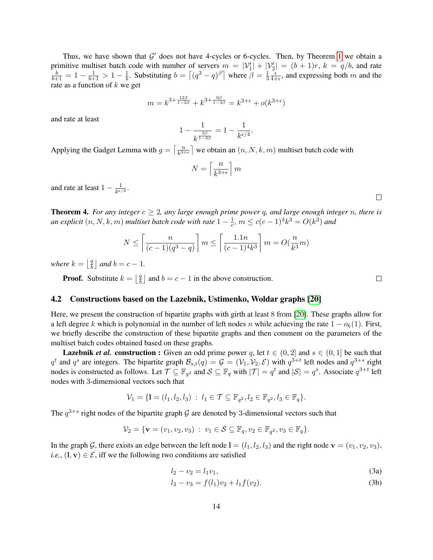Thus, we have shown that  $\mathcal{G}'$  does not have 4-cycles or 6-cycles. Then, by Theorem [1](#page-7-3) we obtain a primitive multiset batch code with number of servers  $m = |\mathcal{V}'_1| + |\mathcal{V}'_2| = (b+1)r$ ,  $k = q/b$ , and rate  $\frac{b}{b+1} = 1 - \frac{1}{b+1} > 1 - \frac{1}{b}$  $\frac{1}{b}$ . Substituting  $b = \left\lceil (q^3 - q)^{\beta} \right\rceil$  where  $\beta = \frac{1}{3}$ 3  $\epsilon$  $\frac{\epsilon}{4+\epsilon}$ , and expressing both m and the rate as a function of  $k$  we get

$$
m = k^{3 + \frac{12\beta}{1 - 3\beta}} + k^{3 + \frac{9\beta}{1 - 3\beta}} = k^{3 + \epsilon} + o(k^{3 + \epsilon})
$$

and rate at least

$$
1 - \frac{1}{k^{\frac{3\beta}{1 - 3\beta}}} = 1 - \frac{1}{k^{\epsilon/4}}.
$$

Applying the Gadget Lemma with  $g = \int_{\frac{R}{k^3-1}}^{\frac{n}{k^3-1}}$  $\left[\frac{n}{k^{3+\epsilon}}\right]$  we obtain an  $(n, N, k, m)$  multiset batch code with

$$
N = \left\lceil \frac{n}{k^{3+\epsilon}} \right\rceil m
$$

and rate at least  $1 - \frac{1}{\hbar \epsilon}$  $\frac{1}{k^{\epsilon/4}}.$ 

<span id="page-13-1"></span>**Theorem 4.** *For any integer*  $c \geq 2$ *, any large enough prime power* q*, and large enough integer n, there is an explicit*  $(n, N, k, m)$  *multiset batch code with rate*  $1 - \frac{1}{c}$  $\frac{1}{c}$ ,  $m \leq c(c-1)^3 k^3 = O(k^3)$  and

$$
N \le \left\lceil \frac{n}{(c-1)(q^3 - q)} \right\rceil m \le \left\lceil \frac{1.1n}{(c-1)^4 k^3} \right\rceil m = O(\frac{n}{k^3}m)
$$

*where*  $k = \frac{q}{b}$  $\left(\frac{q}{b}\right]$  and  $b = c - 1$ .

> **Proof.** Substitute  $k = \begin{bmatrix} \frac{q}{h} \end{bmatrix}$  $\frac{q}{b}$  and  $b = c - 1$  in the above construction.

### <span id="page-13-0"></span>4.2 Constructions based on the Lazebnik, Ustimenko, Woldar graphs [\[20\]](#page-21-6)

Here, we present the construction of bipartite graphs with girth at least 8 from [\[20\]](#page-21-6). These graphs allow for a left degree k which is polynomial in the number of left nodes n while achieving the rate  $1 - o_k(1)$ . First, we briefly describe the construction of these bipartite graphs and then comment on the parameters of the multiset batch codes obtained based on these graphs.

**Lazebnik** *et al.* construction : Given an odd prime power q, let  $t \in (0, 2]$  and  $s \in (0, 1]$  be such that  $q^t$  and  $q^s$  are integers. The bipartite graph  $\mathcal{B}_{s,t}(q) = \mathcal{G} = (\mathcal{V}_1, \mathcal{V}_2, \mathcal{E})$  with  $q^{3+t}$  left nodes and  $q^{3+s}$  right nodes is constructed as follows. Let  $\mathcal{T} \subseteq \mathbb{F}_{q^2}$  and  $\mathcal{S} \subseteq \mathbb{F}_q$  with  $|\mathcal{T}| = q^t$  and  $|\mathcal{S}| = q^s$ . Associate  $q^{3+t}$  left nodes with 3-dimensional vectors such that

$$
\mathcal{V}_1 = \{ \mathbf{l} = (l_1, l_2, l_3) : l_1 \in \mathcal{T} \subseteq \mathbb{F}_{q^2}, l_2 \in \mathbb{F}_{q^2}, l_3 \in \mathbb{F}_q \}.
$$

The  $q^{3+s}$  right nodes of the bipartite graph G are denoted by 3-dimensional vectors such that

$$
\mathcal{V}_2 = \{ \mathbf{v} = (v_1, v_2, v_3) : v_1 \in \mathcal{S} \subseteq \mathbb{F}_q, v_2 \in \mathbb{F}_{q^2}, v_3 \in \mathbb{F}_q \}.
$$

In the graph G, there exists an edge between the left node  $\mathbf{l} = (l_1, l_2, l_3)$  and the right node  $\mathbf{v} = (v_1, v_2, v_3)$ , *i.e.*,  $(1, v) \in \mathcal{E}$ , iff we the following two conditions are satisfied

$$
l_2 - v_2 = l_1 v_1,\tag{3a}
$$

$$
l_3 - v_3 = f(l_1)v_2 + l_1f(v_2).
$$
 (3b)

 $\Box$ 

 $\Box$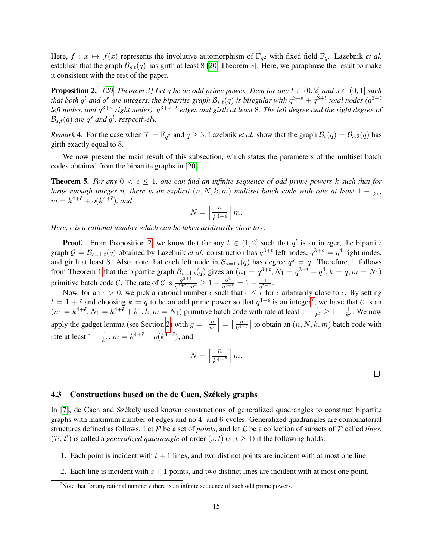Here,  $f: x \mapsto f(x)$  represents the involutive automorphism of  $\mathbb{F}_{q^2}$  with fixed field  $\mathbb{F}_q$ . Lazebnik *et al.* establish that the graph  $\mathcal{B}_{s,t}(q)$  has girth at least 8 [\[20,](#page-21-6) Theorem 3]. Here, we paraphrase the result to make it consistent with the rest of the paper.

<span id="page-14-2"></span>**Proposition 2.** *[\[20,](#page-21-6) Theorem 3] Let q be an odd prime power. Then for any*  $t \in (0, 2]$  *and*  $s \in (0, 1]$  *such* that both  $q^t$  and  $q^s$  are integers, the bipartite graph  $\mathcal{B}_{s,t}(q)$  is biregular with  $q^{3+s}+q^{3+t}$  total nodes  $(q^{3+t}$ left nodes, and  $q^{3+s}$  right nodes),  $q^{3+s+t}$  edges and girth at least 8. The left degree and the right degree of  $\mathcal{B}_{s,t}(q)$  are  $q^s$  and  $q^t$ , respectively.

*Remark* 4. For the case when  $\mathcal{T} = \mathbb{F}_{q^2}$  and  $q \geq 3$ , Lazebnik *et al.* show that the graph  $\mathcal{B}_s(q) = \mathcal{B}_{s,2}(q)$  has girth exactly equal to 8.

We now present the main result of this subsection, which states the parameters of the multiset batch codes obtained from the bipartite graphs in [\[20\]](#page-21-6).

<span id="page-14-0"></span>**Theorem 5.** For any  $0 < \epsilon \leq 1$ , one can find an infinite sequence of odd prime powers k such that for *large enough integer n, there is an explicit*  $(n, N, k, m)$  *multiset batch code with rate at least*  $1 - \frac{1}{k^d}$  $\frac{1}{k^{\epsilon}}$ ,  $m = k^{4+\tilde{\epsilon}} + o(k^{4+\tilde{\epsilon}})$ , and

$$
N = \left\lceil \frac{n}{k^{4+\tilde{\epsilon}}} \right\rceil m.
$$

*Here,*  $\tilde{\epsilon}$  *is a rational number which can be taken arbitrarily close to*  $\epsilon$ *.* 

**Proof.** From Proposition [2,](#page-14-2) we know that for any  $t \in (1, 2]$  such that  $q^t$  is an integer, the bipartite graph  $G = \mathcal{B}_{s=1,t}(q)$  obtained by Lazebnik *et al.* construction has  $q^{3+t}$  left nodes,  $q^{3+s} = q^4$  right nodes, and girth at least 8. Also, note that each left node in  $\mathcal{B}_{s=1,t}(q)$  has degree  $q^s = q$ . Therefore, it follows from Theorem [1](#page-7-3) that the bipartite graph  $\mathcal{B}_{s=1,t}(q)$  gives an  $(n_1 = q^{3+t}, N_1 = q^{3+t} + q^4, k = q, m = N_1)$ primitive batch code C. The rate of C is  $\frac{q^{3+t}}{q^{3+t}+1}$  $\frac{q^{3+t}}{q^{3+t}+q^4} \geq 1 - \frac{q^4}{q^{3+t}}$  $\frac{q^4}{q^{3+t}} = 1 - \frac{1}{q^{t-1}}$  $\frac{1}{q^{t-1}}$ .

Now, for an  $\epsilon > 0$ , we pick a rational number  $\tilde{\epsilon}$  such that  $\epsilon \leq \tilde{\epsilon}$  for  $\tilde{\epsilon}$  arbitrarily close to  $\epsilon$ . By setting  $t = 1 + \tilde{\epsilon}$  and choosing  $k = q$  to be an odd prime power so that  $q^{1+\tilde{\epsilon}}$  is an integer<sup>[7](#page-14-3)</sup>, we have that C is an  $(n_1 = k^{4+\tilde{\epsilon}} , N_1 = k^{4+\tilde{\epsilon}} + k^4, k, m = N_1)$  primitive batch code with rate at least  $1 - \frac{1}{k^4}$  $\frac{1}{k^{\tilde{\epsilon}}} \geq 1 - \frac{1}{k^{\epsilon}}$  $\frac{1}{k^{\epsilon}}$ . We now apply the gadget lemma (see Section [2\)](#page-4-0) with  $g = \left[\frac{n}{n}\right]$  $\overline{n_1}$  $=\lceil \frac{n}{k^{4}} \rceil$  $\left[\frac{n}{k^{4+\epsilon}}\right]$  to obtain an  $(n, N, k, m)$  batch code with rate at least  $1 - \frac{1}{k^e}$  $\frac{1}{k^{\epsilon}}$ ,  $m = k^{4+\tilde{\epsilon}} + o(k^{4+\tilde{\epsilon}})$ , and

$$
N=\left\lceil \frac{n}{k^{4+\tilde{\epsilon}}}\right\rceil m.
$$

 $\Box$ 

### <span id="page-14-1"></span>4.3 Constructions based on the de Caen, Székely graphs

In [\[7\]](#page-20-3), de Caen and Székely used known constructions of generalized quadrangles to construct bipartite graphs with maximum number of edges and no 4- and 6-cycles. Generalized quadrangles are combinatorial structures defined as follows. Let  $P$  be a set of *points*, and let  $\mathcal L$  be a collection of subsets of  $P$  called *lines*.  $(\mathcal{P}, \mathcal{L})$  is called a *generalized quadrangle* of order  $(s, t)$   $(s, t \ge 1)$  if the following holds:

- 1. Each point is incident with  $t + 1$  lines, and two distinct points are incident with at most one line.
- 2. Each line is incident with  $s + 1$  points, and two distinct lines are incident with at most one point.

<span id="page-14-3"></span><sup>&</sup>lt;sup>7</sup>Note that for any rational number  $\tilde{\epsilon}$  there is an infinite sequence of such odd prime powers.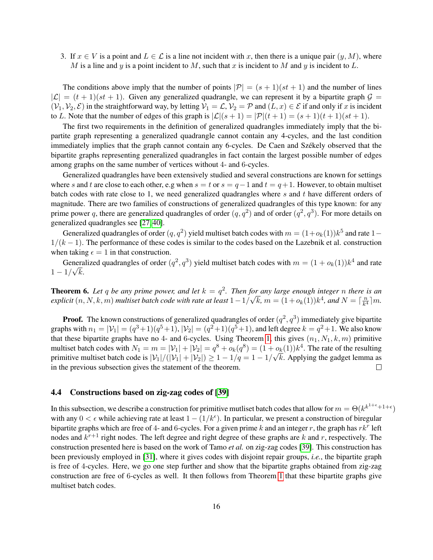3. If  $x \in V$  is a point and  $L \in \mathcal{L}$  is a line not incident with x, then there is a unique pair  $(y, M)$ , where M is a line and y is a point incident to M, such that x is incident to M and y is incident to L.

The conditions above imply that the number of points  $|\mathcal{P}| = (s + 1)(st + 1)$  and the number of lines  $|\mathcal{L}| = (t + 1)(st + 1)$ . Given any generalized quadrangle, we can represent it by a bipartite graph  $\mathcal{G} =$  $(V_1, V_2, \mathcal{E})$  in the straightforward way, by letting  $V_1 = \mathcal{L}$ ,  $V_2 = \mathcal{P}$  and  $(L, x) \in \mathcal{E}$  if and only if x is incident to L. Note that the number of edges of this graph is  $|\mathcal{L}|(s + 1) = |\mathcal{P}|(t + 1) = (s + 1)(t + 1)(st + 1)$ .

The first two requirements in the definition of generalized quadrangles immediately imply that the bipartite graph representing a generalized quadrangle cannot contain any 4-cycles, and the last condition immediately implies that the graph cannot contain any 6-cycles. De Caen and Székely observed that the bipartite graphs representing generalized quadrangles in fact contain the largest possible number of edges among graphs on the same number of vertices without 4- and 6-cycles.

Generalized quadrangles have been extensively studied and several constructions are known for settings where s and t are close to each other, e.g when  $s = t$  or  $s = q-1$  and  $t = q+1$ . However, to obtain multiset batch codes with rate close to 1, we need generalized quadrangles where  $s$  and  $t$  have different orders of magnitude. There are two families of constructions of generalized quadrangles of this type known: for any prime power q, there are generalized quadrangles of order  $(q, q^2)$  and of order  $(q^2, q^3)$ . For more details on generalized quadrangles see [\[27,](#page-21-7) [40\]](#page-22-5).

Generalized quadrangles of order  $(q,q^2)$  yield multiset batch codes with  $m=(1+o_k(1))k^5$  and rate  $1 1/(k-1)$ . The performance of these codes is similar to the codes based on the Lazebnik et al. construction when taking  $\epsilon = 1$  in that construction.

Generalized quadrangles of order  $(q^2, q^3)$  yield multiset batch codes with  $m = (1 + o_k(1))k^4$  and rate  $1 - 1/\sqrt{k}$ .

<span id="page-15-0"></span>**Theorem 6.** Let q be any prime power, and let  $k = q^2$ . Then for any large enough integer n there is an *explicit* (n, N, k, m) *multiset batch code with rate at least* 1−1/ √  $\overline{k}$ ,  $m = (1 + o_k(1))k^4$ , and  $N = \lceil \frac{n}{k^4} \rceil$  $\frac{n}{k^4}$  |  $m$ .

**Proof.** The known constructions of generalized quadrangles of order  $(q^2, q^3)$  immediately give bipartite graphs with  $n_1 = |\mathcal{V}_1| = (q^3 + 1)(q^5 + 1)$ ,  $|\mathcal{V}_2| = (q^2 + 1)(q^5 + 1)$ , and left degree  $k = q^2 + 1$ . We also know that these bipartite graphs have no 4- and 6-cycles. Using Theorem [1,](#page-7-3) this gives  $(n_1, N_1, k, m)$  primitive multiset batch codes with  $N_1 = m = |\mathcal{V}_1| + |\mathcal{V}_2| = q^8 + o_k(q^8) = (1 + o_k(1))k^4$ . The rate of the resulting primitive multiset batch code is  $|\mathcal{V}_1|/(|\mathcal{V}_1|+|\mathcal{V}_2|) \geq 1-1/q = 1-1/\sqrt{k}$ . Applying the gadget lemma as in the previous subsection gives the statement of the theorem.  $\Box$ 

### <span id="page-15-1"></span>4.4 Constructions based on zig-zag codes of [\[39\]](#page-22-3)

In this subsection, we describe a construction for primitive mutliset batch codes that allow for  $m=\Theta(k^{k^{1+\epsilon}+1+\epsilon})$ with any  $0 < \epsilon$  while achieving rate at least  $1 - (1/k^{\epsilon})$ . In particular, we present a construction of biregular bipartite graphs which are free of 4- and 6-cycles. For a given prime k and an integer r, the graph has  $rk^r$  left nodes and  $k^{r+1}$  right nodes. The left degree and right degree of these graphs are k and r, respectively. The construction presented here is based on the work of Tamo *et al.* on zig-zag codes [\[39\]](#page-22-3). This construction has been previously employed in [\[31\]](#page-22-9), where it gives codes with disjoint repair groups, *i.e.*, the bipartite graph is free of 4-cycles. Here, we go one step further and show that the bipartite graphs obtained from zig-zag construction are free of 6-cycles as well. It then follows from Theorem [1](#page-7-3) that these bipartite graphs give multiset batch codes.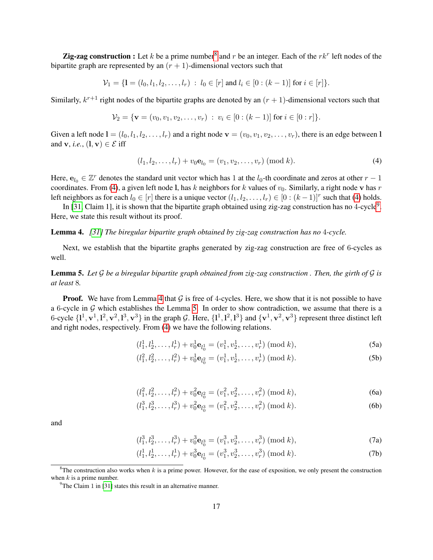**Zig-zag construction :** Let k be a prime number<sup>[8](#page-16-0)</sup> and r be an integer. Each of the  $rk^r$  left nodes of the bipartite graph are represented by an  $(r + 1)$ -dimensional vectors such that

$$
\mathcal{V}_1 = \{ \mathbf{l} = (l_0, l_1, l_2, \dots, l_r) : l_0 \in [r] \text{ and } l_i \in [0 : (k-1)] \text{ for } i \in [r] \}.
$$

Similarly,  $k^{r+1}$  right nodes of the bipartite graphs are denoted by an  $(r + 1)$ -dimensional vectors such that

$$
\mathcal{V}_2 = \{ \mathbf{v} = (v_0, v_1, v_2, \dots, v_r) : v_i \in [0 : (k-1)] \text{ for } i \in [0 : r] \}.
$$

Given a left node  $\mathbf{l} = (l_0, l_1, l_2, \ldots, l_r)$  and a right node  $\mathbf{v} = (v_0, v_1, v_2, \ldots, v_r)$ , there is an edge between I and **v**, *i.e.*,  $(1, \mathbf{v}) \in \mathcal{E}$  iff

<span id="page-16-1"></span>
$$
(l_1, l_2, \dots, l_r) + v_0 \mathbf{e}_{l_0} = (v_1, v_2, \dots, v_r) \; (\text{mod } k). \tag{4}
$$

Here,  $e_{l_0} \in \mathbb{Z}^r$  denotes the standard unit vector which has 1 at the  $l_0$ -th coordinate and zeros at other  $r-1$ coordinates. From [\(4\)](#page-16-1), a given left node l, has k neighbors for k values of  $v_0$ . Similarly, a right node v has r left neighbors as for each  $l_0 \in [r]$  there is a unique vector  $(l_1, l_2, \ldots, l_r) \in [0 : (k-1)]^r$  such that [\(4\)](#page-16-1) holds.

In [\[31,](#page-22-9) Claim 1], it is shown that the bipartite graph obtained using zig-zag construction has no 4-cycle<sup>[9](#page-16-2)</sup>. Here, we state this result without its proof.

### <span id="page-16-3"></span>Lemma 4. *[\[31\]](#page-22-9) The biregular bipartite graph obtained by zig-zag construction has no* 4*-cycle.*

Next, we establish that the bipartite graphs generated by zig-zag construction are free of 6-cycles as well.

<span id="page-16-4"></span>Lemma 5. *Let* G *be a biregular bipartite graph obtained from zig-zag construction . Then, the girth of* G *is at least* 8*.*

**Proof.** We have from Lemma [4](#page-16-3) that  $G$  is free of 4-cycles. Here, we show that it is not possible to have a 6-cycle in  $G$  which establishes the Lemma [5.](#page-16-4) In order to show contradiction, we assume that there is a 6-cycle  $\{1^1, \mathbf{v}^1, 1^2, \mathbf{v}^2, 1^3, \mathbf{v}^3\}$  in the graph G. Here,  $\{1^1, 1^2, 1^3\}$  and  $\{\mathbf{v}^1, \mathbf{v}^2, \mathbf{v}^3\}$  represent three distinct left and right nodes, respectively. From [\(4\)](#page-16-1) we have the following relations.

$$
(l_1^1, l_2^1, \dots, l_r^1) + v_0^1 \mathbf{e}_{l_0^1} = (v_1^1, v_2^1, \dots, v_r^1) \; (\text{mod } k),\tag{5a}
$$

$$
(l_1^2, l_2^2, \dots, l_r^2) + v_0^1 \mathbf{e}_{l_0^2} = (v_1^1, v_2^1, \dots, v_r^1) \; (\text{mod } k). \tag{5b}
$$

$$
(l_1^2, l_2^2, \dots, l_r^2) + v_0^2 \mathbf{e}_{l_0^2} = (v_1^2, v_2^2, \dots, v_r^2) \; (\text{mod } k), \tag{6a}
$$

$$
(l_1^3, l_2^3, \dots, l_r^3) + v_0^2 \mathbf{e}_{l_0^3} = (v_1^2, v_2^2, \dots, v_r^2) \; (\text{mod } k). \tag{6b}
$$

and

$$
(l_1^3, l_2^3, \dots, l_r^3) + v_0^3 \mathbf{e}_{l_0^3} = (v_1^3, v_2^3, \dots, v_r^3) \; (\text{mod } k),\tag{7a}
$$

$$
(l_1^1, l_2^1, \dots, l_r^1) + v_0^3 \mathbf{e}_{l_0^1} = (v_1^3, v_2^3, \dots, v_r^3) \; (\text{mod } k). \tag{7b}
$$

<span id="page-16-0"></span> ${}^{8}$ The construction also works when k is a prime power. However, for the ease of exposition, we only present the construction when  $k$  is a prime number.

<span id="page-16-2"></span> $9^9$ The Claim 1 in [\[31\]](#page-22-9) states this result in an alternative manner.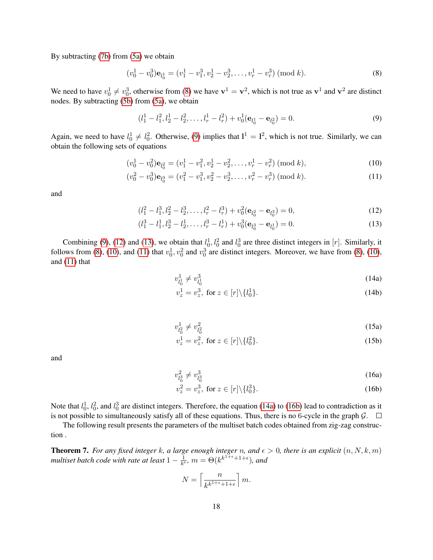By subtracting [\(7b\)](#page-12-1) from [\(5a\)](#page-12-0) we obtain

$$
(v_0^1 - v_0^3) \mathbf{e}_{l_0^1} = (v_1^1 - v_1^3, v_2^1 - v_2^3, \dots, v_r^1 - v_r^3) \; (\text{mod } k). \tag{8}
$$

We need to have  $v_0^1 \neq v_0^3$ , otherwise from [\(8\)](#page-17-1) we have  $v^1 = v^2$ , which is not true as  $v^1$  and  $v^2$  are distinct nodes. By subtracting [\(5b\)](#page-12-1) from [\(5a\)](#page-12-0), we obtain

<span id="page-17-2"></span><span id="page-17-1"></span>
$$
(l_1^1 - l_1^2, l_2^1 - l_2^2, \dots, l_r^1 - l_r^2) + v_0^1(\mathbf{e}_{l_0^1} - \mathbf{e}_{l_0^2}) = 0.
$$
\n(9)

Again, we need to have  $l_0^1 \neq l_0^2$ . Otherwise, [\(9\)](#page-17-2) implies that  $l^1 = l^2$ , which is not true. Similarly, we can obtain the following sets of equations

$$
(v_0^1 - v_0^2) \mathbf{e}_{l_0^2} = (v_1^1 - v_1^2, v_2^1 - v_2^2, \dots, v_r^1 - v_r^2) \; (\text{mod } k), \tag{10}
$$

$$
(v_0^2 - v_0^3)\mathbf{e}_{l_0^3} = (v_1^2 - v_1^3, v_2^2 - v_2^3, \dots, v_r^2 - v_r^3) \; (\text{mod } k). \tag{11}
$$

and

$$
(l_1^2 - l_1^3, l_2^2 - l_2^3, \dots, l_r^2 - l_r^3) + v_0^2 (\mathbf{e}_{l_0^2} - \mathbf{e}_{l_0^3}) = 0,
$$
\n(12)

$$
(l_1^3 - l_1^1, l_2^3 - l_2^1, \dots, l_r^3 - l_r^1) + v_0^3(\mathbf{e}_{l_0^3} - \mathbf{e}_{l_0^1}) = 0.
$$
 (13)

Combining [\(9\)](#page-17-2), [\(12\)](#page-17-3) and [\(13\)](#page-17-4), we obtain that  $l_0^1$ ,  $l_0^2$  and  $l_0^3$  are three distinct integers in [*r*]. Similarly, it follows from [\(8\)](#page-17-1), [\(10\)](#page-17-5), and [\(11\)](#page-17-6) that  $v_0^1$ ,  $v_0^2$  and  $v_0^3$  are distinct integers. Moreover, we have from (8), (10), and [\(11\)](#page-17-6) that

<span id="page-17-6"></span><span id="page-17-5"></span><span id="page-17-4"></span><span id="page-17-3"></span>
$$
v_{l_0^1}^1 \neq v_{l_0^1}^3 \tag{14a}
$$

$$
v_z^1 = v_z^3, \text{ for } z \in [r] \backslash \{l_0^1\}. \tag{14b}
$$

$$
v_{l_0^2}^1 \neq v_{l_0^2}^2 \tag{15a}
$$

$$
v_z^1 = v_z^2, \text{ for } z \in [r] \setminus \{l_0^2\}. \tag{15b}
$$

and

$$
v_{l_0^3}^2 \neq v_{l_0^3}^3 \tag{16a}
$$

$$
v_z^2 = v_z^3, \text{ for } z \in [r] \backslash \{l_0^3\}. \tag{16b}
$$

Note that  $l_0^1$ ,  $l_0^2$ , and  $l_0^3$  are distinct integers. Therefore, the equation [\(14a\)](#page-12-0) to [\(16b\)](#page-12-1) lead to contradiction as it is not possible to simultaneously satisfy all of these equations. Thus, there is no 6-cycle in the graph  $\mathcal{G}$ .  $\Box$ 

The following result presents the parameters of the multiset batch codes obtained from zig-zag construction .

<span id="page-17-0"></span>**Theorem 7.** For any fixed integer k, a large enough integer n, and  $\epsilon > 0$ , there is an explicit  $(n, N, k, m)$ *multiset batch code with rate at least*  $1 - \frac{1}{k^d}$  $\frac{1}{k^{\epsilon}}$ ,  $m = \Theta(k^{k^{1+\epsilon}+1+\epsilon})$ , and

$$
N = \left\lceil \frac{n}{k^{k^{1+\epsilon}+1+\epsilon}} \right\rceil m.
$$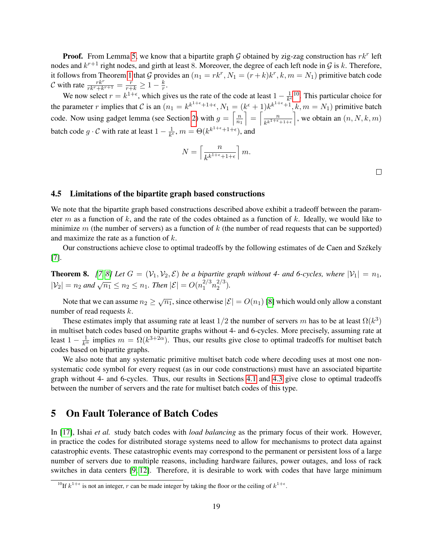**Proof.** From Lemma [5,](#page-16-4) we know that a bipartite graph G obtained by zig-zag construction has  $rk^r$  left nodes and  $k^{r+1}$  right nodes, and girth at least 8. Moreover, the degree of each left node in  $\mathcal G$  is k. Therefore, it follows from Theorem [1](#page-7-3) that G provides an  $(n_1 = rk^r, N_1 = (r+k)k^r, k, m = N_1)$  primitive batch code C with rate  $\frac{rk^r}{rk^r+k^{r+1}} = \frac{r}{r+k} \ge 1 - \frac{k}{r}$  $\frac{\kappa}{r}.$ 

We now select  $r = k^{1+\epsilon}$ , which gives us the rate of the code at least  $1 - \frac{1}{k^2}$  $\frac{1}{k^{\epsilon}}$ <sup>[10](#page-18-2)</sup>. This particular choice for the parameter r implies that C is an  $(n_1 = k^{k^{1+\epsilon}+1+\epsilon}, N_1 = (k^{\epsilon}+1)k^{k^{1+\epsilon}+1}, k, m = N_1)$  primitive batch code. Now using gadget lemma (see Section [2\)](#page-4-0) with  $g = \frac{m}{n}$  $\overline{n_1}$  $\Big] = \Big[\frac{n}{\mu k^{1+\epsilon}}\Big]$  $\left\lfloor \frac{n}{k^{k^{1+\epsilon}+1+\epsilon}} \right\rfloor$ , we obtain an  $(n, N, k, m)$ batch code  $g \cdot C$  with rate at least  $1 - \frac{1}{k^d}$  $\frac{1}{k^{\epsilon}}$ ,  $m = \Theta(k^{k^{1+\epsilon}+1+\epsilon})$ , and

$$
N=\left\lceil \frac{n}{k^{k^{1+\epsilon}+1+\epsilon}}\right\rceil m.
$$

 $\Box$ 

### <span id="page-18-0"></span>4.5 Limitations of the bipartite graph based constructions

We note that the bipartite graph based constructions described above exhibit a tradeoff between the parameter m as a function of k, and the rate of the codes obtained as a function of k. Ideally, we would like to minimize  $m$  (the number of servers) as a function of  $k$  (the number of read requests that can be supported) and maximize the rate as a function of k.

Our constructions achieve close to optimal tradeoffs by the following estimates of de Caen and Székely [\[7\]](#page-20-3).

**Theorem 8.** [\[7,](#page-20-3) [8\]](#page-20-7) Let  $G = (\mathcal{V}_1, \mathcal{V}_2, \mathcal{E})$  be a bipartite graph without 4- and 6-cycles, where  $|\mathcal{V}_1| = n_1$ ,  $|V_2| = n_2$  *and*  $\sqrt{n_1} \le n_2 \le n_1$ *. Then*  $|\mathcal{E}| = O(n_1^{2/3} n_2^{2/3})$  $\binom{2}{2}$ .

Note that we can assume  $n_2 \geq \sqrt{n_1}$ , since otherwise  $|\mathcal{E}| = O(n_1)$  [\[8\]](#page-20-7) which would only allow a constant number of read requests k.

These estimates imply that assuming rate at least  $1/2$  the number of servers m has to be at least  $\Omega(k^3)$ in multiset batch codes based on bipartite graphs without 4- and 6-cycles. More precisely, assuming rate at least  $1 - \frac{1}{k^{\alpha}}$  implies  $m = \Omega(k^{3+2\alpha})$ . Thus, our results give close to optimal tradeoffs for multiset batch codes based on bipartite graphs.

We also note that any systematic primitive multiset batch code where decoding uses at most one nonsystematic code symbol for every request (as in our code constructions) must have an associated bipartite graph without 4- and 6-cycles. Thus, our results in Sections [4.1](#page-11-1) and [4.3](#page-14-1) give close to optimal tradeoffs between the number of servers and the rate for multiset batch codes of this type.

### <span id="page-18-1"></span>5 On Fault Tolerance of Batch Codes

In [\[17\]](#page-21-0), Ishai *et al.* study batch codes with *load balancing* as the primary focus of their work. However, in practice the codes for distributed storage systems need to allow for mechanisms to protect data against catastrophic events. These catastrophic events may correspond to the permanent or persistent loss of a large number of servers due to multiple reasons, including hardware failures, power outages, and loss of rack switches in data centers [\[9,](#page-20-8) [12\]](#page-21-15). Therefore, it is desirable to work with codes that have large minimum

<span id="page-18-2"></span><sup>&</sup>lt;sup>10</sup>If  $k^{1+\epsilon}$  is not an integer, r can be made integer by taking the floor or the ceiling of  $k^{1+\epsilon}$ .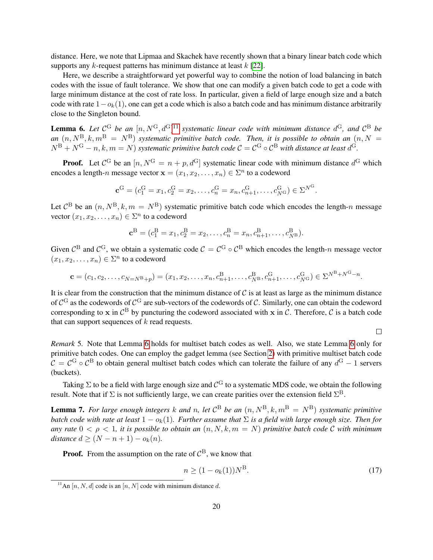distance. Here, we note that Lipmaa and Skachek have recently shown that a binary linear batch code which supports any  $k$ -request patterns has minimum distance at least  $k$  [\[22\]](#page-21-16).

Here, we describe a straightforward yet powerful way to combine the notion of load balancing in batch codes with the issue of fault tolerance. We show that one can modify a given batch code to get a code with large minimum distance at the cost of rate loss. In particular, given a field of large enough size and a batch code with rate  $1-\sigma_k(1)$ , one can get a code which is also a batch code and has minimum distance arbitrarily close to the Singleton bound.

<span id="page-19-1"></span>**Lemma 6.** Let  $\mathcal{C}^G$  be an  $[n, N^G, d^G]$ <sup>[11](#page-19-0)</sup> systematic linear code with minimum distance  $d^G$ , and  $\mathcal{C}^B$  be *an*  $(n, N^B, k, m^B = N^B)$  *systematic primitive batch code. Then, it is possible to obtain an*  $(n, N = 1)$  $N^{\rm B}+N^{\rm G}-n, k, m=N$  *systematic primitive batch code*  $C=C^{\rm G}\circ C^{\rm B}$  *with distance at least*  $d^{\rm G}$ *.* 

**Proof.** Let  $\mathcal{C}^G$  be an  $[n, N^G = n + p, d^G]$  systematic linear code with minimum distance  $d^G$  which encodes a length-n message vector  $\mathbf{x} = (x_1, x_2, \dots, x_n) \in \Sigma^n$  to a codeword

$$
\mathbf{c}^{\mathrm{G}} = (c_1^{\mathrm{G}} = x_1, c_2^{\mathrm{G}} = x_2, \dots, c_n^{\mathrm{G}} = x_n, c_{n+1}^{\mathrm{G}}, \dots, c_{N^{\mathrm{G}}}^{\mathrm{G}}) \in \Sigma^{N^{\mathrm{G}}}.
$$

Let  $C^B$  be an  $(n, N^B, k, m = N^B)$  systematic primitive batch code which encodes the length-n message vector  $(x_1, x_2, \ldots, x_n) \in \Sigma^n$  to a codeword

$$
\mathbf{c}^{\mathrm{B}} = (c_1^{\mathrm{B}} = x_1, c_2^{\mathrm{B}} = x_2, \dots, c_n^{\mathrm{B}} = x_n, c_{n+1}^{\mathrm{B}}, \dots, c_{N^{\mathrm{B}}}^{\mathrm{B}}).
$$

Given  $\mathcal{C}^B$  and  $\mathcal{C}^G$ , we obtain a systematic code  $\mathcal{C} = \mathcal{C}^G \circ \mathcal{C}^B$  which encodes the length-n message vector  $(x_1, x_2, \ldots, x_n) \in \Sigma^n$  to a codeword

$$
\mathbf{c} = (c_1, c_2, \dots, c_{N=N^B+p}) = (x_1, x_2, \dots, x_n, c_{n+1}^B, \dots, c_{N^B}^B, c_{n+1}^G, \dots, c_{N^G}^G) \in \Sigma^{N^B+N^G-n}.
$$

It is clear from the construction that the minimum distance of  $\mathcal C$  is at least as large as the minimum distance of  $C^G$  as the codewords of  $C^G$  are sub-vectors of the codewords of C. Similarly, one can obtain the codeword corresponding to x in  $\mathcal{C}^B$  by puncturing the codeword associated with x in C. Therefore, C is a batch code that can support sequences of  $k$  read requests.

<span id="page-19-2"></span> $\Box$ 

*Remark* 5*.* Note that Lemma [6](#page-19-1) holds for multiset batch codes as well. Also, we state Lemma [6](#page-19-1) only for primitive batch codes. One can employ the gadget lemma (see Section [2\)](#page-4-0) with primitive multiset batch code  $C = C^G \circ C^B$  to obtain general multiset batch codes which can tolerate the failure of any  $d^G - 1$  servers (buckets).

Taking  $\Sigma$  to be a field with large enough size and  $\mathcal{C}^{\rm G}$  to a systematic MDS code, we obtain the following result. Note that if  $\Sigma$  is not sufficiently large, we can create parities over the extension field  $\Sigma^B$ .

**Lemma 7.** For large enough integers k and n, let  $C^B$  be an  $(n, N^B, k, m^B = N^B)$  systematic primitive *batch code with rate at least*  $1 - o_k(1)$ *. Further assume that*  $\Sigma$  *is a field with large enough size. Then for any rate*  $0 < \rho < 1$ , *it is possible to obtain an*  $(n, N, k, m = N)$  *primitive batch code* C *with minimum distance*  $d \geq (N - n + 1) - o_k(n)$ .

**Proof.** From the assumption on the rate of  $\mathcal{C}^{\text{B}}$ , we know that

$$
n \ge (1 - o_k(1))N^B. \tag{17}
$$

<span id="page-19-0"></span><sup>&</sup>lt;sup>11</sup>An [n, N, d] code is an [n, N] code with minimum distance d.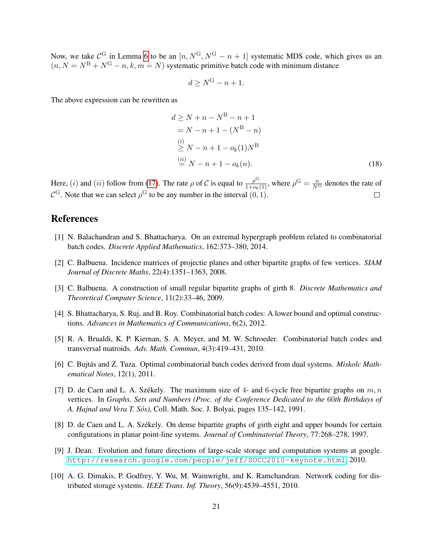Now, we take  $\mathcal{C}^G$  in Lemma [6](#page-19-1) to be an  $[n, N^G, N^G - n + 1]$  systematic MDS code, which gives us an  $(n, N = N<sup>B</sup> + N<sup>G</sup> - n, k, m = N)$  systematic primitive batch code with minimum distance

$$
d \ge N^G - n + 1.
$$

The above expression can be rewritten as

$$
d \ge N + n - N^{B} - n + 1
$$
  
= N - n + 1 - (N^{B} - n)  
(i)  

$$
\ge N - n + 1 - o_{k}(1)N^{B}
$$
  
(ii) 
$$
\stackrel{(ii)}{=} N - n + 1 - o_{k}(n).
$$
 (18)

Here, (*i*) and (*ii*) follow from [\(17\)](#page-19-2). The rate  $\rho$  of C is equal to  $\frac{\rho^G}{1 + o_k(1)}$ , where  $\rho^G = \frac{n}{N^G}$  denotes the rate of  $\mathcal{C}^{\mathbf{G}}$ . Note that we can select  $\rho^{\mathbf{G}}$  to be any number in the interval  $(0, 1)$ .

## References

- <span id="page-20-0"></span>[1] N. Balachandran and S. Bhattacharya. On an extremal hypergraph problem related to combinatorial batch codes. *Discrete Applied Mathematics*, 162:373–380, 2014.
- <span id="page-20-6"></span>[2] C. Balbuena. Incidence matrices of projectie planes and other bipartite graphs of few vertices. *SIAM Journal of Discrete Maths*, 22(4):1351–1363, 2008.
- <span id="page-20-4"></span>[3] C. Balbuena. A construction of small regular bipartite graphs of girth 8. *Discrete Mathematics and Theoretical Computer Science*, 11(2):33–46, 2009.
- <span id="page-20-1"></span>[4] S. Bhattacharya, S. Ruj, and B. Roy. Combinatorial batch codes: A lower bound and optimal constructions. *Advances in Mathematics of Communications*, 6(2), 2012.
- [5] R. A. Brualdi, K. P. Kiernan, S. A. Meyer, and M. W. Schroeder. Combinatorial batch codes and transversal matroids. *Adv. Math. Commun*, 4(3):419–431, 2010.
- <span id="page-20-2"></span>[6] C. Bujtas and Z. Tuza. Optimal combinatorial batch codes derived from dual systems. ´ *Miskolc Mathematical Notes*, 12(1), 2011.
- <span id="page-20-3"></span>[7] D. de Caen and L. A. Székely. The maximum size of 4- and 6-cycle free bipartite graphs on  $m, n$ vertices. In *Graphs, Sets and Numbers (Proc. of the Conference Dedicated to the* 60*th Birthdays of A. Hajnal and Vera T. Sos) ´* , Coll. Math. Soc. J. Bolyai, pages 135–142, 1991.
- <span id="page-20-7"></span>[8] D. de Caen and L. A. Székely. On dense bipartite graphs of girth eight and upper bounds for certain configurations in planar point-line systems. *Journal of Combinatorial Theory*, 77:268–278, 1997.
- <span id="page-20-8"></span>[9] J. Dean. Evolution and future directions of large-scale storage and computation systems at google. <http://research.google.com/people/jeff/SOCC2010-keynote.html>, 2010.
- <span id="page-20-5"></span>[10] A. G. Dimakis, P. Godfrey, Y. Wu, M. Wainwright, and K. Ramchandran. Network coding for distributed storage systems. *IEEE Trans. Inf. Theory*, 56(9):4539–4551, 2010.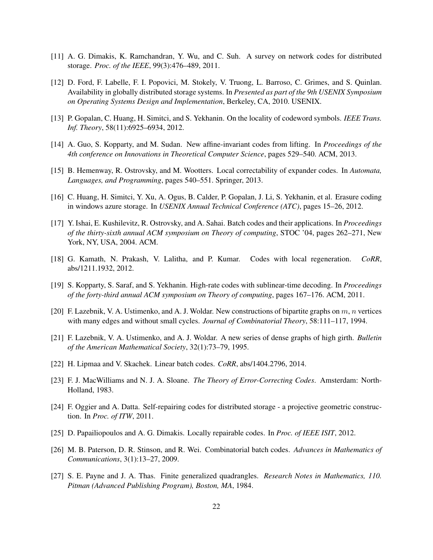- <span id="page-21-8"></span>[11] A. G. Dimakis, K. Ramchandran, Y. Wu, and C. Suh. A survey on network codes for distributed storage. *Proc. of the IEEE*, 99(3):476–489, 2011.
- <span id="page-21-15"></span>[12] D. Ford, F. Labelle, F. I. Popovici, M. Stokely, V. Truong, L. Barroso, C. Grimes, and S. Quinlan. Availability in globally distributed storage systems. In *Presented as part of the 9th USENIX Symposium on Operating Systems Design and Implementation*, Berkeley, CA, 2010. USENIX.
- <span id="page-21-9"></span>[13] P. Gopalan, C. Huang, H. Simitci, and S. Yekhanin. On the locality of codeword symbols. *IEEE Trans. Inf. Theory*, 58(11):6925–6934, 2012.
- <span id="page-21-3"></span>[14] A. Guo, S. Kopparty, and M. Sudan. New affine-invariant codes from lifting. In *Proceedings of the 4th conference on Innovations in Theoretical Computer Science*, pages 529–540. ACM, 2013.
- <span id="page-21-4"></span>[15] B. Hemenway, R. Ostrovsky, and M. Wootters. Local correctability of expander codes. In *Automata, Languages, and Programming*, pages 540–551. Springer, 2013.
- <span id="page-21-1"></span>[16] C. Huang, H. Simitci, Y. Xu, A. Ogus, B. Calder, P. Gopalan, J. Li, S. Yekhanin, et al. Erasure coding in windows azure storage. In *USENIX Annual Technical Conference (ATC)*, pages 15–26, 2012.
- <span id="page-21-0"></span>[17] Y. Ishai, E. Kushilevitz, R. Ostrovsky, and A. Sahai. Batch codes and their applications. In *Proceedings of the thirty-sixth annual ACM symposium on Theory of computing*, STOC '04, pages 262–271, New York, NY, USA, 2004. ACM.
- <span id="page-21-12"></span>[18] G. Kamath, N. Prakash, V. Lalitha, and P. Kumar. Codes with local regeneration. *CoRR*, abs/1211.1932, 2012.
- <span id="page-21-2"></span>[19] S. Kopparty, S. Saraf, and S. Yekhanin. High-rate codes with sublinear-time decoding. In *Proceedings of the forty-third annual ACM symposium on Theory of computing*, pages 167–176. ACM, 2011.
- <span id="page-21-6"></span>[20] F. Lazebnik, V. A. Ustimenko, and A. J. Woldar. New constructions of bipartite graphs on  $m$ , n vertices with many edges and without small cycles. *Journal of Combinatorial Theory*, 58:111–117, 1994.
- <span id="page-21-14"></span>[21] F. Lazebnik, V. A. Ustimenko, and A. J. Woldar. A new series of dense graphs of high girth. *Bulletin of the American Mathematical Society*, 32(1):73–79, 1995.
- <span id="page-21-16"></span>[22] H. Lipmaa and V. Skachek. Linear batch codes. *CoRR*, abs/1404.2796, 2014.
- <span id="page-21-11"></span>[23] F. J. MacWilliams and N. J. A. Sloane. *The Theory of Error-Correcting Codes*. Amsterdam: North-Holland, 1983.
- <span id="page-21-13"></span>[24] F. Oggier and A. Datta. Self-repairing codes for distributed storage - a projective geometric construction. In *Proc. of ITW*, 2011.
- <span id="page-21-10"></span>[25] D. Papailiopoulos and A. G. Dimakis. Locally repairable codes. In *Proc. of IEEE ISIT*, 2012.
- <span id="page-21-5"></span>[26] M. B. Paterson, D. R. Stinson, and R. Wei. Combinatorial batch codes. *Advances in Mathematics of Communications*, 3(1):13–27, 2009.
- <span id="page-21-7"></span>[27] S. E. Payne and J. A. Thas. Finite generalized quadrangles. *Research Notes in Mathematics, 110. Pitman (Advanced Publishing Program), Boston, MA*, 1984.